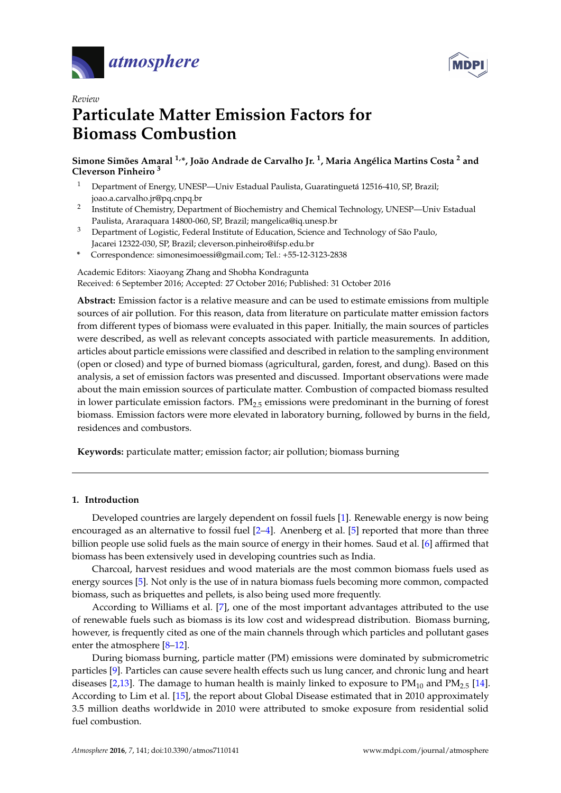



# *Review* **Particulate Matter Emission Factors for Biomass Combustion**

**Simone Simões Amaral 1,\*, João Andrade de Carvalho Jr. <sup>1</sup> , Maria Angélica Martins Costa <sup>2</sup> and Cleverson Pinheiro <sup>3</sup>**

- <sup>1</sup> Department of Energy, UNESP—Univ Estadual Paulista, Guaratinguetá 12516-410, SP, Brazil; joao.a.carvalho.jr@pq.cnpq.br
- $\mathcal{D}$ Institute of Chemistry, Department of Biochemistry and Chemical Technology, UNESP—Univ Estadual Paulista, Araraquara 14800-060, SP, Brazil; mangelica@iq.unesp.br
- <sup>3</sup> Department of Logistic, Federal Institute of Education, Science and Technology of São Paulo, Jacarei 12322-030, SP, Brazil; cleverson.pinheiro@ifsp.edu.br
- **\*** Correspondence: simonesimoessi@gmail.com; Tel.: +55-12-3123-2838

Academic Editors: Xiaoyang Zhang and Shobha Kondragunta Received: 6 September 2016; Accepted: 27 October 2016; Published: 31 October 2016

**Abstract:** Emission factor is a relative measure and can be used to estimate emissions from multiple sources of air pollution. For this reason, data from literature on particulate matter emission factors from different types of biomass were evaluated in this paper. Initially, the main sources of particles were described, as well as relevant concepts associated with particle measurements. In addition, articles about particle emissions were classified and described in relation to the sampling environment (open or closed) and type of burned biomass (agricultural, garden, forest, and dung). Based on this analysis, a set of emission factors was presented and discussed. Important observations were made about the main emission sources of particulate matter. Combustion of compacted biomass resulted in lower particulate emission factors. PM2.5 emissions were predominant in the burning of forest biomass. Emission factors were more elevated in laboratory burning, followed by burns in the field, residences and combustors.

**Keywords:** particulate matter; emission factor; air pollution; biomass burning

## **1. Introduction**

Developed countries are largely dependent on fossil fuels [\[1\]](#page-20-0). Renewable energy is now being encouraged as an alternative to fossil fuel  $[2-4]$  $[2-4]$ . Anenberg et al. [\[5\]](#page-20-3) reported that more than three billion people use solid fuels as the main source of energy in their homes. Saud et al. [\[6\]](#page-20-4) affirmed that biomass has been extensively used in developing countries such as India.

Charcoal, harvest residues and wood materials are the most common biomass fuels used as energy sources [\[5\]](#page-20-3). Not only is the use of in natura biomass fuels becoming more common, compacted biomass, such as briquettes and pellets, is also being used more frequently.

According to Williams et al. [\[7\]](#page-20-5), one of the most important advantages attributed to the use of renewable fuels such as biomass is its low cost and widespread distribution. Biomass burning, however, is frequently cited as one of the main channels through which particles and pollutant gases enter the atmosphere [\[8](#page-20-6)[–12\]](#page-20-7).

During biomass burning, particle matter (PM) emissions were dominated by submicrometric particles [\[9\]](#page-20-8). Particles can cause severe health effects such us lung cancer, and chronic lung and heart diseases [\[2,](#page-20-1)[13\]](#page-20-9). The damage to human health is mainly linked to exposure to  $PM_{10}$  and  $PM_{2.5}$  [\[14\]](#page-20-10). According to Lim et al. [\[15\]](#page-21-0), the report about Global Disease estimated that in 2010 approximately 3.5 million deaths worldwide in 2010 were attributed to smoke exposure from residential solid fuel combustion.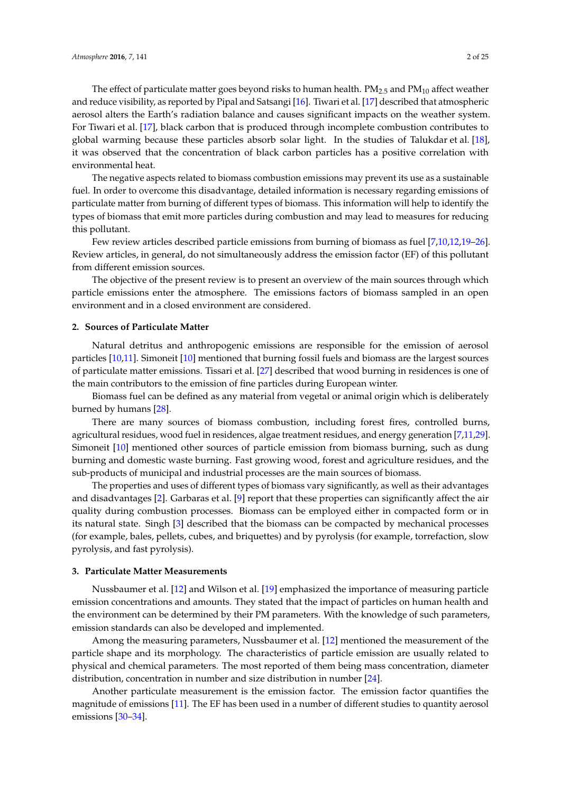The effect of particulate matter goes beyond risks to human health.  $PM_{2.5}$  and  $PM_{10}$  affect weather and reduce visibility, as reported by Pipal and Satsangi [\[16\]](#page-21-1). Tiwari et al. [\[17\]](#page-21-2) described that atmospheric aerosol alters the Earth's radiation balance and causes significant impacts on the weather system. For Tiwari et al. [\[17\]](#page-21-2), black carbon that is produced through incomplete combustion contributes to global warming because these particles absorb solar light. In the studies of Talukdar et al. [\[18\]](#page-21-3), it was observed that the concentration of black carbon particles has a positive correlation with environmental heat.

The negative aspects related to biomass combustion emissions may prevent its use as a sustainable fuel. In order to overcome this disadvantage, detailed information is necessary regarding emissions of particulate matter from burning of different types of biomass. This information will help to identify the types of biomass that emit more particles during combustion and may lead to measures for reducing this pollutant.

Few review articles described particle emissions from burning of biomass as fuel [\[7](#page-20-5)[,10](#page-20-11)[,12](#page-20-7)[,19–](#page-21-4)[26\]](#page-21-5). Review articles, in general, do not simultaneously address the emission factor (EF) of this pollutant from different emission sources.

The objective of the present review is to present an overview of the main sources through which particle emissions enter the atmosphere. The emissions factors of biomass sampled in an open environment and in a closed environment are considered.

#### **2. Sources of Particulate Matter**

Natural detritus and anthropogenic emissions are responsible for the emission of aerosol particles [\[10](#page-20-11)[,11\]](#page-20-12). Simoneit [\[10\]](#page-20-11) mentioned that burning fossil fuels and biomass are the largest sources of particulate matter emissions. Tissari et al. [\[27\]](#page-21-6) described that wood burning in residences is one of the main contributors to the emission of fine particles during European winter.

Biomass fuel can be defined as any material from vegetal or animal origin which is deliberately burned by humans [\[28\]](#page-21-7).

There are many sources of biomass combustion, including forest fires, controlled burns, agricultural residues, wood fuel in residences, algae treatment residues, and energy generation [\[7](#page-20-5)[,11](#page-20-12)[,29\]](#page-21-8). Simoneit [\[10\]](#page-20-11) mentioned other sources of particle emission from biomass burning, such as dung burning and domestic waste burning. Fast growing wood, forest and agriculture residues, and the sub-products of municipal and industrial processes are the main sources of biomass.

The properties and uses of different types of biomass vary significantly, as well as their advantages and disadvantages [\[2\]](#page-20-1). Garbaras et al. [\[9\]](#page-20-8) report that these properties can significantly affect the air quality during combustion processes. Biomass can be employed either in compacted form or in its natural state. Singh [\[3\]](#page-20-13) described that the biomass can be compacted by mechanical processes (for example, bales, pellets, cubes, and briquettes) and by pyrolysis (for example, torrefaction, slow pyrolysis, and fast pyrolysis).

## **3. Particulate Matter Measurements**

Nussbaumer et al. [\[12\]](#page-20-7) and Wilson et al. [\[19\]](#page-21-4) emphasized the importance of measuring particle emission concentrations and amounts. They stated that the impact of particles on human health and the environment can be determined by their PM parameters. With the knowledge of such parameters, emission standards can also be developed and implemented.

Among the measuring parameters, Nussbaumer et al. [\[12\]](#page-20-7) mentioned the measurement of the particle shape and its morphology. The characteristics of particle emission are usually related to physical and chemical parameters. The most reported of them being mass concentration, diameter distribution, concentration in number and size distribution in number [\[24\]](#page-21-9).

Another particulate measurement is the emission factor. The emission factor quantifies the magnitude of emissions [\[11\]](#page-20-12). The EF has been used in a number of different studies to quantity aerosol emissions [\[30–](#page-21-10)[34\]](#page-21-11).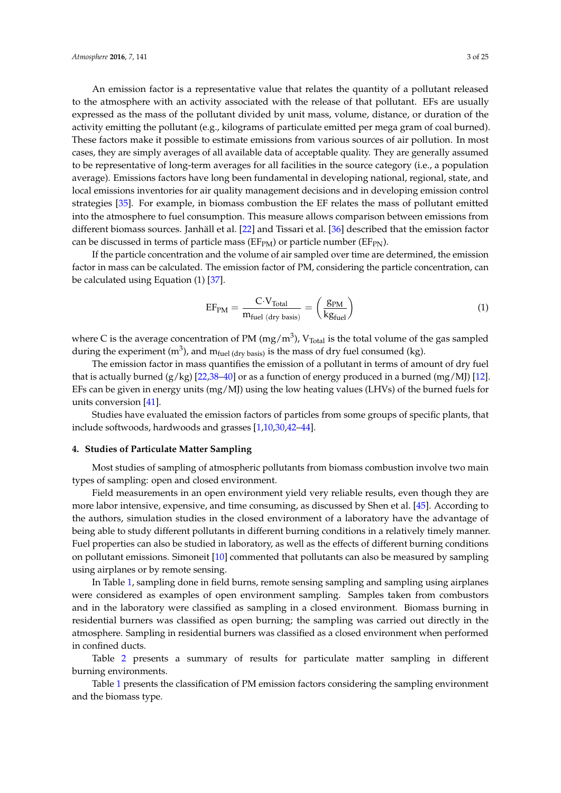An emission factor is a representative value that relates the quantity of a pollutant released to the atmosphere with an activity associated with the release of that pollutant. EFs are usually expressed as the mass of the pollutant divided by unit mass, volume, distance, or duration of the activity emitting the pollutant (e.g., kilograms of particulate emitted per mega gram of coal burned). These factors make it possible to estimate emissions from various sources of air pollution. In most cases, they are simply averages of all available data of acceptable quality. They are generally assumed to be representative of long-term averages for all facilities in the source category (i.e., a population average). Emissions factors have long been fundamental in developing national, regional, state, and local emissions inventories for air quality management decisions and in developing emission control strategies [\[35\]](#page-22-0). For example, in biomass combustion the EF relates the mass of pollutant emitted into the atmosphere to fuel consumption. This measure allows comparison between emissions from different biomass sources. Janhäll et al. [\[22\]](#page-21-12) and Tissari et al. [\[36\]](#page-22-1) described that the emission factor can be discussed in terms of particle mass ( $E_{PM}$ ) or particle number ( $E_{PN}$ ).

If the particle concentration and the volume of air sampled over time are determined, the emission factor in mass can be calculated. The emission factor of PM, considering the particle concentration, can be calculated using Equation (1) [\[37\]](#page-22-2).

$$
EF_{PM} = \frac{C \cdot V_{Total}}{m_{fuel (dry basis)}} = \left(\frac{g_{PM}}{kg_{fuel}}\right)
$$
 (1)

where C is the average concentration of PM (mg/m<sup>3</sup>), V<sub>Total</sub> is the total volume of the gas sampled during the experiment (m<sup>3</sup>), and m<sub>fuel (dry basis)</sub> is the mass of dry fuel consumed (kg).

The emission factor in mass quantifies the emission of a pollutant in terms of amount of dry fuel that is actually burned  $(g/kg)$  [\[22](#page-21-12)[,38](#page-22-3)[–40\]](#page-22-4) or as a function of energy produced in a burned (mg/MJ) [\[12\]](#page-20-7). EFs can be given in energy units (mg/MJ) using the low heating values (LHVs) of the burned fuels for units conversion [\[41\]](#page-22-5).

Studies have evaluated the emission factors of particles from some groups of specific plants, that include softwoods, hardwoods and grasses [\[1](#page-20-0)[,10,](#page-20-11)[30,](#page-21-10)[42–](#page-22-6)[44\]](#page-22-7).

## **4. Studies of Particulate Matter Sampling**

Most studies of sampling of atmospheric pollutants from biomass combustion involve two main types of sampling: open and closed environment.

Field measurements in an open environment yield very reliable results, even though they are more labor intensive, expensive, and time consuming, as discussed by Shen et al. [\[45\]](#page-22-8). According to the authors, simulation studies in the closed environment of a laboratory have the advantage of being able to study different pollutants in different burning conditions in a relatively timely manner. Fuel properties can also be studied in laboratory, as well as the effects of different burning conditions on pollutant emissions. Simoneit [\[10\]](#page-20-11) commented that pollutants can also be measured by sampling using airplanes or by remote sensing.

In Table [1,](#page-3-0) sampling done in field burns, remote sensing sampling and sampling using airplanes were considered as examples of open environment sampling. Samples taken from combustors and in the laboratory were classified as sampling in a closed environment. Biomass burning in residential burners was classified as open burning; the sampling was carried out directly in the atmosphere. Sampling in residential burners was classified as a closed environment when performed in confined ducts.

Table [2](#page-3-1) presents a summary of results for particulate matter sampling in different burning environments.

Table [1](#page-3-0) presents the classification of PM emission factors considering the sampling environment and the biomass type.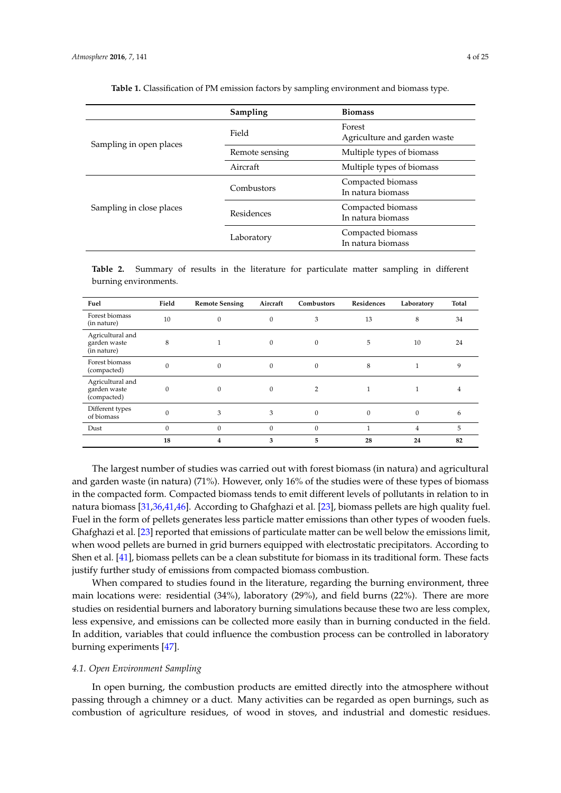<span id="page-3-0"></span>

|                          | Sampling       | <b>Biomass</b>                         |
|--------------------------|----------------|----------------------------------------|
| Sampling in open places  | Field          | Forest<br>Agriculture and garden waste |
|                          | Remote sensing | Multiple types of biomass              |
|                          | Aircraft       | Multiple types of biomass              |
|                          | Combustors     | Compacted biomass<br>In natura biomass |
| Sampling in close places | Residences     | Compacted biomass<br>In natura biomass |
|                          | Laboratory     | Compacted biomass<br>In natura biomass |

**Table 1.** Classification of PM emission factors by sampling environment and biomass type.

<span id="page-3-1"></span>**Table 2.** Summary of results in the literature for particulate matter sampling in different burning environments.

| Fuel                                            | Field    | <b>Remote Sensing</b> | Aircraft     | Combustors   | Residences   | Laboratory | Total |
|-------------------------------------------------|----------|-----------------------|--------------|--------------|--------------|------------|-------|
| Forest biomass<br>(in nature)                   | 10       | $\Omega$              | $\mathbf{0}$ | 3            | 13           | 8          | 34    |
| Agricultural and<br>garden waste<br>(in nature) | 8        |                       | $\Omega$     | 0            | 5            | 10         | 24    |
| Forest biomass<br>(compacted)                   | $\Omega$ | $\mathbf{0}$          | $\mathbf{0}$ | 0            | 8            | 1          | 9     |
| Agricultural and<br>garden waste<br>(compacted) | $\Omega$ | $\Omega$              | $\Omega$     | 2            |              | 1          | 4     |
| Different types<br>of biomass                   | $\Omega$ | 3                     | 3            | $\mathbf{0}$ | $\mathbf{0}$ | $\Omega$   | 6     |
| Dust                                            | $\Omega$ | $\Omega$              | $\mathbf{0}$ | 0            |              | 4          | 5     |
|                                                 | 18       | 4                     | 3            | 5            | 28           | 24         | 82    |

The largest number of studies was carried out with forest biomass (in natura) and agricultural and garden waste (in natura) (71%). However, only 16% of the studies were of these types of biomass in the compacted form. Compacted biomass tends to emit different levels of pollutants in relation to in natura biomass [\[31](#page-21-13)[,36,](#page-22-1)[41,](#page-22-5)[46\]](#page-22-9). According to Ghafghazi et al. [\[23\]](#page-21-14), biomass pellets are high quality fuel. Fuel in the form of pellets generates less particle matter emissions than other types of wooden fuels. Ghafghazi et al. [\[23\]](#page-21-14) reported that emissions of particulate matter can be well below the emissions limit, when wood pellets are burned in grid burners equipped with electrostatic precipitators. According to Shen et al. [\[41\]](#page-22-5), biomass pellets can be a clean substitute for biomass in its traditional form. These facts justify further study of emissions from compacted biomass combustion.

When compared to studies found in the literature, regarding the burning environment, three main locations were: residential (34%), laboratory (29%), and field burns (22%). There are more studies on residential burners and laboratory burning simulations because these two are less complex, less expensive, and emissions can be collected more easily than in burning conducted in the field. In addition, variables that could influence the combustion process can be controlled in laboratory burning experiments [\[47\]](#page-22-10).

## *4.1. Open Environment Sampling*

In open burning, the combustion products are emitted directly into the atmosphere without passing through a chimney or a duct. Many activities can be regarded as open burnings, such as combustion of agriculture residues, of wood in stoves, and industrial and domestic residues.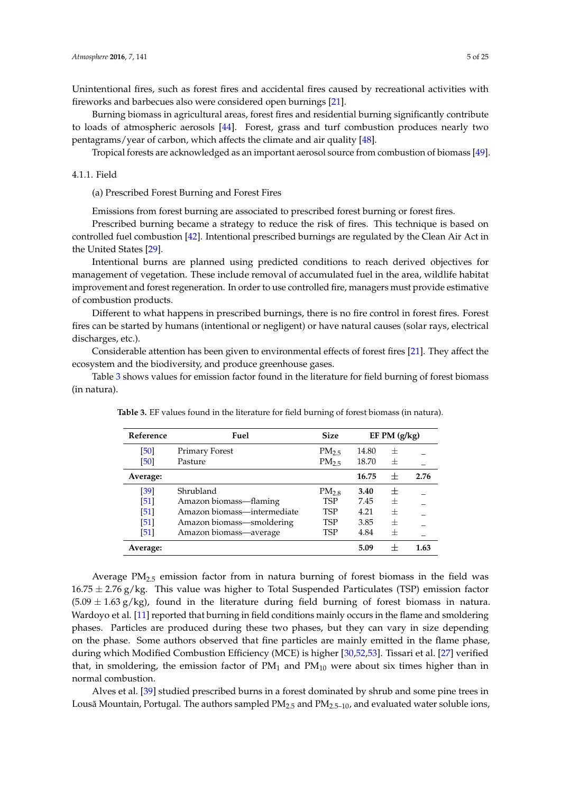Unintentional fires, such as forest fires and accidental fires caused by recreational activities with fireworks and barbecues also were considered open burnings [\[21\]](#page-21-15).

Burning biomass in agricultural areas, forest fires and residential burning significantly contribute to loads of atmospheric aerosols [\[44\]](#page-22-7). Forest, grass and turf combustion produces nearly two pentagrams/year of carbon, which affects the climate and air quality [\[48\]](#page-22-11).

Tropical forests are acknowledged as an important aerosol source from combustion of biomass [\[49\]](#page-22-12).

#### 4.1.1. Field

(a) Prescribed Forest Burning and Forest Fires

Emissions from forest burning are associated to prescribed forest burning or forest fires.

Prescribed burning became a strategy to reduce the risk of fires. This technique is based on controlled fuel combustion [\[42\]](#page-22-6). Intentional prescribed burnings are regulated by the Clean Air Act in the United States [\[29\]](#page-21-8).

Intentional burns are planned using predicted conditions to reach derived objectives for management of vegetation. These include removal of accumulated fuel in the area, wildlife habitat improvement and forest regeneration. In order to use controlled fire, managers must provide estimative of combustion products.

Different to what happens in prescribed burnings, there is no fire control in forest fires. Forest fires can be started by humans (intentional or negligent) or have natural causes (solar rays, electrical discharges, etc.).

Considerable attention has been given to environmental effects of forest fires [\[21\]](#page-21-15). They affect the ecosystem and the biodiversity, and produce greenhouse gases.

<span id="page-4-0"></span>Table [3](#page-4-0) shows values for emission factor found in the literature for field burning of forest biomass (in natura).

| Reference | Fuel                        | <b>Size</b>       |       | EF PM $(g/kg)$ |      |
|-----------|-----------------------------|-------------------|-------|----------------|------|
| [50]      | <b>Primary Forest</b>       | PM <sub>25</sub>  | 14.80 | 土              |      |
| [50]      | Pasture                     | PM <sub>2.5</sub> | 18.70 | 士              |      |
| Average:  |                             |                   | 16.75 | $^{+}$         | 2.76 |
| [39]      | Shrubland                   | $PM_{2.8}$        | 3.40  | 士              |      |
| [51]      | Amazon biomass—flaming      | <b>TSP</b>        | 7.45  | $^{+}$         |      |
| [51]      | Amazon biomass—intermediate | <b>TSP</b>        | 4.21  | $^{+}$         |      |
| [51]      | Amazon biomass—smoldering   | <b>TSP</b>        | 3.85  | $^{+}$         |      |
| [51]      | Amazon biomass—average      | TSP               | 4.84  | $^{+}$         |      |
| Average:  |                             |                   | 5.09  |                | 1.63 |

**Table 3.** EF values found in the literature for field burning of forest biomass (in natura).

Average  $PM<sub>2.5</sub>$  emission factor from in natura burning of forest biomass in the field was  $16.75 \pm 2.76$  g/kg. This value was higher to Total Suspended Particulates (TSP) emission factor  $(5.09 \pm 1.63 \text{ g/kg})$ , found in the literature during field burning of forest biomass in natura. Wardoyo et al. [\[11\]](#page-20-12) reported that burning in field conditions mainly occurs in the flame and smoldering phases. Particles are produced during these two phases, but they can vary in size depending on the phase. Some authors observed that fine particles are mainly emitted in the flame phase, during which Modified Combustion Efficiency (MCE) is higher [\[30](#page-21-10)[,52](#page-22-16)[,53\]](#page-22-17). Tissari et al. [\[27\]](#page-21-6) verified that, in smoldering, the emission factor of  $PM_1$  and  $PM_{10}$  were about six times higher than in normal combustion.

Alves et al. [\[39\]](#page-22-14) studied prescribed burns in a forest dominated by shrub and some pine trees in Lousã Mountain, Portugal. The authors sampled  $PM_{2.5}$  and  $PM_{2.5-10}$ , and evaluated water soluble ions,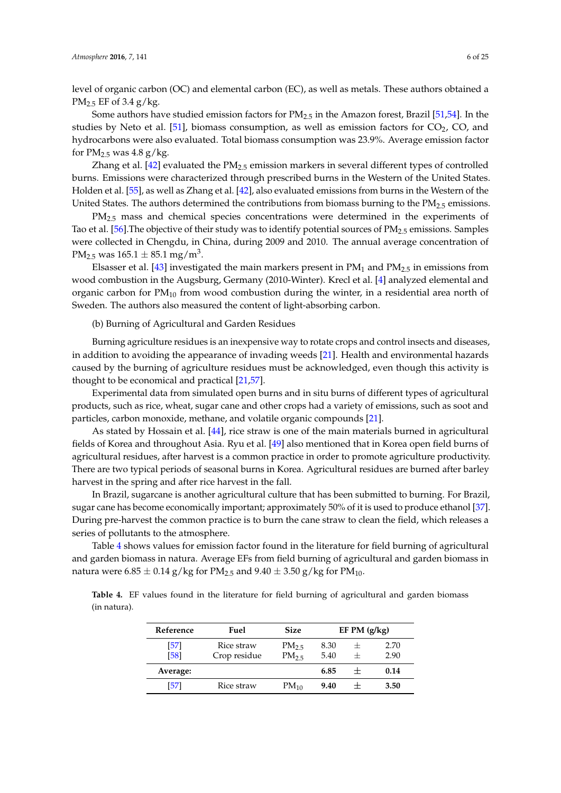level of organic carbon (OC) and elemental carbon (EC), as well as metals. These authors obtained a  $PM_{2.5}$  EF of 3.4 g/kg.

Some authors have studied emission factors for  $PM_{2.5}$  in the Amazon forest, Brazil [\[51,](#page-22-15)[54\]](#page-23-0). In the studies by Neto et al. [\[51\]](#page-22-15), biomass consumption, as well as emission factors for  $CO<sub>2</sub>$ , CO, and hydrocarbons were also evaluated. Total biomass consumption was 23.9%. Average emission factor for  $PM_{2.5}$  was 4.8 g/kg.

Zhang et al. [\[42\]](#page-22-6) evaluated the  $PM_{2.5}$  emission markers in several different types of controlled burns. Emissions were characterized through prescribed burns in the Western of the United States. Holden et al. [\[55\]](#page-23-1), as well as Zhang et al. [\[42\]](#page-22-6), also evaluated emissions from burns in the Western of the United States. The authors determined the contributions from biomass burning to the  $PM_{2.5}$  emissions.

PM<sub>2.5</sub> mass and chemical species concentrations were determined in the experiments of Tao et al. [\[56\]](#page-23-2). The objective of their study was to identify potential sources of  $PM_{2.5}$  emissions. Samples were collected in Chengdu, in China, during 2009 and 2010. The annual average concentration of  $\text{PM}_{2.5}$  was  $165.1 \pm 85.1$  mg/m<sup>3</sup>.

Elsasser et al. [\[43\]](#page-22-18) investigated the main markers present in  $PM<sub>1</sub>$  and  $PM<sub>2.5</sub>$  in emissions from wood combustion in the Augsburg, Germany (2010-Winter). Krecl et al. [\[4\]](#page-20-2) analyzed elemental and organic carbon for  $PM_{10}$  from wood combustion during the winter, in a residential area north of Sweden. The authors also measured the content of light-absorbing carbon.

(b) Burning of Agricultural and Garden Residues

Burning agriculture residues is an inexpensive way to rotate crops and control insects and diseases, in addition to avoiding the appearance of invading weeds [\[21\]](#page-21-15). Health and environmental hazards caused by the burning of agriculture residues must be acknowledged, even though this activity is thought to be economical and practical [\[21](#page-21-15)[,57\]](#page-23-3).

Experimental data from simulated open burns and in situ burns of different types of agricultural products, such as rice, wheat, sugar cane and other crops had a variety of emissions, such as soot and particles, carbon monoxide, methane, and volatile organic compounds [\[21\]](#page-21-15).

As stated by Hossain et al. [\[44\]](#page-22-7), rice straw is one of the main materials burned in agricultural fields of Korea and throughout Asia. Ryu et al. [\[49\]](#page-22-12) also mentioned that in Korea open field burns of agricultural residues, after harvest is a common practice in order to promote agriculture productivity. There are two typical periods of seasonal burns in Korea. Agricultural residues are burned after barley harvest in the spring and after rice harvest in the fall.

In Brazil, sugarcane is another agricultural culture that has been submitted to burning. For Brazil, sugar cane has become economically important; approximately 50% of it is used to produce ethanol [\[37\]](#page-22-2). During pre-harvest the common practice is to burn the cane straw to clean the field, which releases a series of pollutants to the atmosphere.

Table [4](#page-5-0) shows values for emission factor found in the literature for field burning of agricultural and garden biomass in natura. Average EFs from field burning of agricultural and garden biomass in natura were  $6.85 \pm 0.14$  g/kg for PM<sub>2.5</sub> and  $9.40 \pm 3.50$  g/kg for PM<sub>10</sub>.

<span id="page-5-0"></span>**Table 4.** EF values found in the literature for field burning of agricultural and garden biomass (in natura).

| Reference | Fuel         | Size             |      | $EF$ PM $(g/kg)$ |      |
|-----------|--------------|------------------|------|------------------|------|
| [57]      | Rice straw   | PM <sub>25</sub> | 8.30 | $+$              | 2.70 |
| [58]      | Crop residue | PM <sub>25</sub> | 5.40 | $^+$             | 2.90 |
| Average:  |              |                  | 6.85 |                  | 0.14 |
| [57]      | Rice straw   | $PM_{10}$        | 9.40 |                  | 3.50 |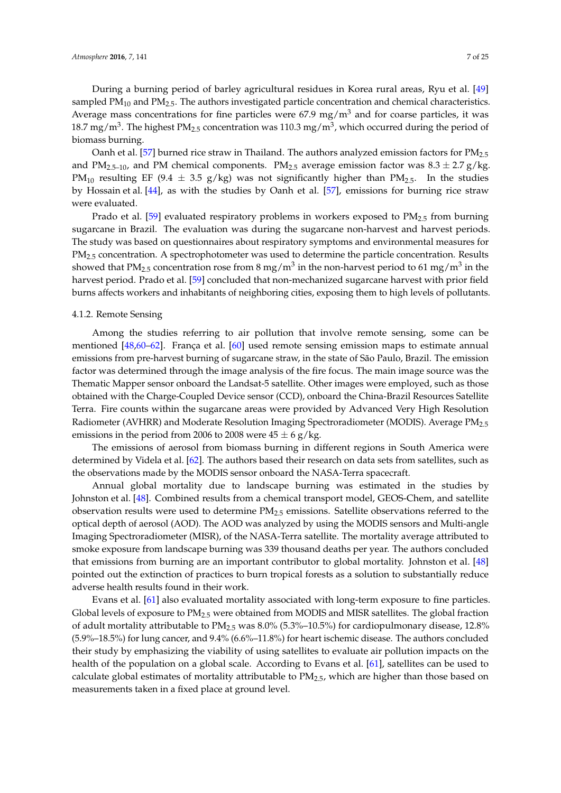During a burning period of barley agricultural residues in Korea rural areas, Ryu et al. [\[49\]](#page-22-12) sampled  $PM_{10}$  and  $PM_{2.5}$ . The authors investigated particle concentration and chemical characteristics. Average mass concentrations for fine particles were  $67.9 \text{ mg/m}^3$  and for coarse particles, it was 18.7 mg/m<sup>3</sup>. The highest PM<sub>2.5</sub> concentration was 110.3 mg/m<sup>3</sup>, which occurred during the period of biomass burning.

Oanh et al. [\[57\]](#page-23-3) burned rice straw in Thailand. The authors analyzed emission factors for PM<sub>2.5</sub> and PM<sub>2.5–10</sub>, and PM chemical components. PM<sub>2.5</sub> average emission factor was  $8.3 \pm 2.7$  g/kg. PM<sub>10</sub> resulting EF (9.4  $\pm$  3.5 g/kg) was not significantly higher than PM<sub>2.5</sub>. In the studies by Hossain et al. [\[44\]](#page-22-7), as with the studies by Oanh et al. [\[57\]](#page-23-3), emissions for burning rice straw were evaluated.

Prado et al. [\[59\]](#page-23-5) evaluated respiratory problems in workers exposed to  $PM<sub>2.5</sub>$  from burning sugarcane in Brazil. The evaluation was during the sugarcane non-harvest and harvest periods. The study was based on questionnaires about respiratory symptoms and environmental measures for PM<sub>2.5</sub> concentration. A spectrophotometer was used to determine the particle concentration. Results showed that PM<sub>2.5</sub> concentration rose from 8 mg/m<sup>3</sup> in the non-harvest period to 61 mg/m<sup>3</sup> in the harvest period. Prado et al. [\[59\]](#page-23-5) concluded that non-mechanized sugarcane harvest with prior field burns affects workers and inhabitants of neighboring cities, exposing them to high levels of pollutants.

## 4.1.2. Remote Sensing

Among the studies referring to air pollution that involve remote sensing, some can be mentioned [\[48,](#page-22-11)[60–](#page-23-6)[62\]](#page-23-7). França et al. [\[60\]](#page-23-6) used remote sensing emission maps to estimate annual emissions from pre-harvest burning of sugarcane straw, in the state of São Paulo, Brazil. The emission factor was determined through the image analysis of the fire focus. The main image source was the Thematic Mapper sensor onboard the Landsat-5 satellite. Other images were employed, such as those obtained with the Charge-Coupled Device sensor (CCD), onboard the China-Brazil Resources Satellite Terra. Fire counts within the sugarcane areas were provided by Advanced Very High Resolution Radiometer (AVHRR) and Moderate Resolution Imaging Spectroradiometer (MODIS). Average PM2.5 emissions in the period from 2006 to 2008 were  $45 \pm 6$  g/kg.

The emissions of aerosol from biomass burning in different regions in South America were determined by Videla et al. [\[62\]](#page-23-7). The authors based their research on data sets from satellites, such as the observations made by the MODIS sensor onboard the NASA-Terra spacecraft.

Annual global mortality due to landscape burning was estimated in the studies by Johnston et al. [\[48\]](#page-22-11). Combined results from a chemical transport model, GEOS-Chem, and satellite observation results were used to determine PM2.5 emissions. Satellite observations referred to the optical depth of aerosol (AOD). The AOD was analyzed by using the MODIS sensors and Multi-angle Imaging Spectroradiometer (MISR), of the NASA-Terra satellite. The mortality average attributed to smoke exposure from landscape burning was 339 thousand deaths per year. The authors concluded that emissions from burning are an important contributor to global mortality. Johnston et al. [\[48\]](#page-22-11) pointed out the extinction of practices to burn tropical forests as a solution to substantially reduce adverse health results found in their work.

Evans et al. [\[61\]](#page-23-8) also evaluated mortality associated with long-term exposure to fine particles. Global levels of exposure to  $PM_{2.5}$  were obtained from MODIS and MISR satellites. The global fraction of adult mortality attributable to  $PM_{2.5}$  was  $8.0\%$  (5.3%–10.5%) for cardiopulmonary disease, 12.8% (5.9%–18.5%) for lung cancer, and 9.4% (6.6%–11.8%) for heart ischemic disease. The authors concluded their study by emphasizing the viability of using satellites to evaluate air pollution impacts on the health of the population on a global scale. According to Evans et al. [\[61\]](#page-23-8), satellites can be used to calculate global estimates of mortality attributable to  $PM_{2.5}$ , which are higher than those based on measurements taken in a fixed place at ground level.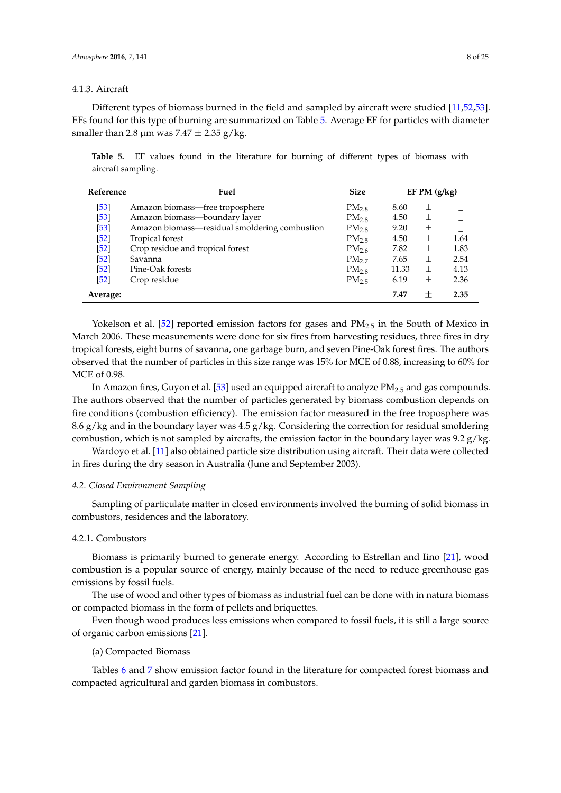## 4.1.3. Aircraft

Different types of biomass burned in the field and sampled by aircraft were studied [\[11,](#page-20-12)[52,](#page-22-16)[53\]](#page-22-17). EFs found for this type of burning are summarized on Table [5.](#page-7-0) Average EF for particles with diameter smaller than 2.8  $\mu$ m was 7.47  $\pm$  2.35 g/kg.

<span id="page-7-0"></span>**Table 5.** EF values found in the literature for burning of different types of biomass with aircraft sampling.

| Reference | Fuel                                          | <b>Size</b>      |       | EF PM $(g/kg)$ |      |
|-----------|-----------------------------------------------|------------------|-------|----------------|------|
| $[53]$    | Amazon biomass—free troposphere               | $PM_{2.8}$       | 8.60  | 士              |      |
| $[53]$    | Amazon biomass-boundary layer                 | $PM_{2.8}$       | 4.50  | 士              |      |
| $[53]$    | Amazon biomass-residual smoldering combustion | $PM_{2.8}$       | 9.20  | $\pm$          |      |
| [52]      | Tropical forest                               | PM <sub>25</sub> | 4.50  | $^{+}$         | 1.64 |
| [52]      | Crop residue and tropical forest              | $PM_{2.6}$       | 7.82  | $^{+}$         | 1.83 |
| $[52]$    | Savanna                                       | PM <sub>2</sub>  | 7.65  | 士              | 2.54 |
| $[52]$    | Pine-Oak forests                              | $PM_{2.8}$       | 11.33 | $^{+}$         | 4.13 |
| [52]      | Crop residue                                  | PM <sub>25</sub> | 6.19  | $^{+}$         | 2.36 |
| Average:  |                                               |                  | 7.47  | $\pm$          | 2.35 |

Yokelson et al. [\[52\]](#page-22-16) reported emission factors for gases and  $PM_{2.5}$  in the South of Mexico in March 2006. These measurements were done for six fires from harvesting residues, three fires in dry tropical forests, eight burns of savanna, one garbage burn, and seven Pine-Oak forest fires. The authors observed that the number of particles in this size range was 15% for MCE of 0.88, increasing to 60% for MCE of 0.98.

In Amazon fires, Guyon et al. [\[53\]](#page-22-17) used an equipped aircraft to analyze PM<sub>2.5</sub> and gas compounds. The authors observed that the number of particles generated by biomass combustion depends on fire conditions (combustion efficiency). The emission factor measured in the free troposphere was 8.6 g/kg and in the boundary layer was  $4.5$  g/kg. Considering the correction for residual smoldering combustion, which is not sampled by aircrafts, the emission factor in the boundary layer was  $9.2$  g/kg.

Wardoyo et al. [\[11\]](#page-20-12) also obtained particle size distribution using aircraft. Their data were collected in fires during the dry season in Australia (June and September 2003).

#### *4.2. Closed Environment Sampling*

Sampling of particulate matter in closed environments involved the burning of solid biomass in combustors, residences and the laboratory.

#### 4.2.1. Combustors

Biomass is primarily burned to generate energy. According to Estrellan and Iino [\[21\]](#page-21-15), wood combustion is a popular source of energy, mainly because of the need to reduce greenhouse gas emissions by fossil fuels.

The use of wood and other types of biomass as industrial fuel can be done with in natura biomass or compacted biomass in the form of pellets and briquettes.

Even though wood produces less emissions when compared to fossil fuels, it is still a large source of organic carbon emissions [\[21\]](#page-21-15).

### (a) Compacted Biomass

Tables [6](#page-8-0) and [7](#page-8-1) show emission factor found in the literature for compacted forest biomass and compacted agricultural and garden biomass in combustors.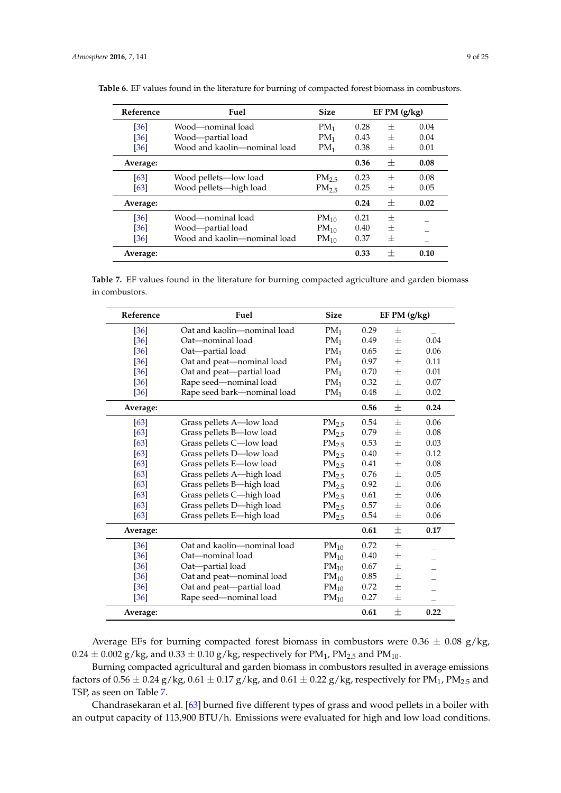| Reference         | Fuel                         | <b>Size</b>       |      | $EF$ PM $(g/kg)$ |      |
|-------------------|------------------------------|-------------------|------|------------------|------|
| [36]              | Wood—nominal load            | $PM_1$            | 0.28 | $^{+}$           | 0.04 |
| [36]              | Wood—partial load            | $PM_1$            | 0.43 | $^{+}$           | 0.04 |
| [36]              | Wood and kaolin-nominal load | $PM_1$            | 0.38 | $^{+}$           | 0.01 |
| Average:          |                              |                   | 0.36 | $^{+}$           | 0.08 |
| [63]              | Wood pellets—low load        | PM <sub>2.5</sub> | 0.23 | $^{+}$           | 0.08 |
| [63]              | Wood pellets-high load       | PM <sub>25</sub>  | 0.25 | $^{+}$           | 0.05 |
| Average:          |                              |                   | 0.24 | $^{+}$           | 0.02 |
| [36]              | Wood—nominal load            | $PM_{10}$         | 0.21 | $^{+}$           |      |
| [36]              | Wood—partial load            | $PM_{10}$         | 0.40 | $^{+}$           |      |
| $\left[36\right]$ | Wood and kaolin-nominal load | $PM_{10}$         | 0.37 | $^{+}$           |      |
| Average:          |                              |                   | 0.33 | $^+$             | 0.10 |

<span id="page-8-0"></span>**Table 6.** EF values found in the literature for burning of compacted forest biomass in combustors.

<span id="page-8-1"></span>**Table 7.** EF values found in the literature for burning compacted agriculture and garden biomass in combustors.

| Reference | Fuel                        | <b>Size</b>       |      | EF PM $(g/kg)$ |      |
|-----------|-----------------------------|-------------------|------|----------------|------|
| [36]      | Oat and kaolin—nominal load | PM <sub>1</sub>   | 0.29 | $^{+}$         |      |
| [36]      | Oat-nominal load            | $PM_1$            | 0.49 | $+$            | 0.04 |
| [36]      | Oat-partial load            | $PM_1$            | 0.65 | $\pm$          | 0.06 |
| [36]      | Oat and peat-nominal load   | PM <sub>1</sub>   | 0.97 | $^{+}$         | 0.11 |
| [36]      | Oat and peat-partial load   | $PM_1$            | 0.70 | $^{+}$         | 0.01 |
| [36]      | Rape seed-nominal load      | $PM_1$            | 0.32 | $\pm$          | 0.07 |
| $[36]$    | Rape seed bark-nominal load | $PM_1$            | 0.48 | 士              | 0.02 |
| Average:  |                             |                   | 0.56 | $\pm$          | 0.24 |
| [63]      | Grass pellets A—low load    | PM <sub>2.5</sub> | 0.54 | $^{+}$         | 0.06 |
| [63]      | Grass pellets B-low load    | PM <sub>2.5</sub> | 0.79 | 士              | 0.08 |
| [63]      | Grass pellets C-low load    | PM <sub>2.5</sub> | 0.53 | $^{+}$         | 0.03 |
| [63]      | Grass pellets D-low load    | PM <sub>2.5</sub> | 0.40 | $^{+}$         | 0.12 |
| [63]      | Grass pellets E-low load    | PM <sub>2.5</sub> | 0.41 | $^{+}$         | 0.08 |
| [63]      | Grass pellets A-high load   | PM <sub>2.5</sub> | 0.76 | $\pm$          | 0.05 |
| [63]      | Grass pellets B-high load   | PM <sub>2.5</sub> | 0.92 | $^{+}$         | 0.06 |
| [63]      | Grass pellets C-high load   | PM <sub>2.5</sub> | 0.61 | 士              | 0.06 |
| [63]      | Grass pellets D-high load   | $PM_{2.5}$        | 0.57 | 士              | 0.06 |
| [63]      | Grass pellets E-high load   | PM <sub>2.5</sub> | 0.54 | 士              | 0.06 |
| Average:  |                             |                   | 0.61 | $^{+}$         | 0.17 |
| [36]      | Oat and kaolin-nominal load | $PM_{10}$         | 0.72 | $^{+}$         |      |
| [36]      | Oat-nominal load            | $PM_{10}$         | 0.40 | 士              |      |
| [36]      | Oat-partial load            | $PM_{10}$         | 0.67 | 士              |      |
| [36]      | Oat and peat-nominal load   | $PM_{10}$         | 0.85 | 士              |      |
| [36]      | Oat and peat-partial load   | $PM_{10}$         | 0.72 | $+$            |      |
| $[36]$    | Rape seed-nominal load      | $PM_{10}$         | 0.27 | $\pm$          |      |
| Average:  |                             |                   | 0.61 | 士              | 0.22 |

Average EFs for burning compacted forest biomass in combustors were  $0.36 \pm 0.08$  g/kg,  $0.24 \pm 0.002$  g/kg, and  $0.33 \pm 0.10$  g/kg, respectively for PM<sub>1</sub>, PM<sub>2.5</sub> and PM<sub>10</sub>.

Burning compacted agricultural and garden biomass in combustors resulted in average emissions factors of  $0.56 \pm 0.24$  g/kg,  $0.61 \pm 0.17$  g/kg, and  $0.61 \pm 0.22$  g/kg, respectively for PM<sub>1</sub>, PM<sub>2.5</sub> and TSP, as seen on Table [7.](#page-8-1)

Chandrasekaran et al. [\[63\]](#page-23-9) burned five different types of grass and wood pellets in a boiler with an output capacity of 113,900 BTU/h. Emissions were evaluated for high and low load conditions.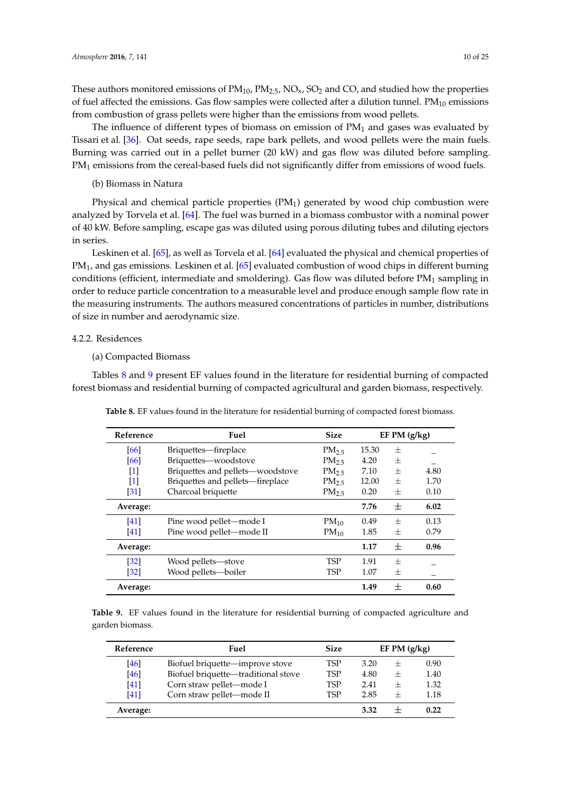These authors monitored emissions of  $PM_{10}$ ,  $PM_{2.5}$ ,  $NO_{x}$ ,  $SO_{2}$  and CO, and studied how the properties of fuel affected the emissions. Gas flow samples were collected after a dilution tunnel.  $PM_{10}$  emissions from combustion of grass pellets were higher than the emissions from wood pellets.

The influence of different types of biomass on emission of  $PM<sub>1</sub>$  and gases was evaluated by Tissari et al. [\[36\]](#page-22-1). Oat seeds, rape seeds, rape bark pellets, and wood pellets were the main fuels. Burning was carried out in a pellet burner (20 kW) and gas flow was diluted before sampling. PM<sub>1</sub> emissions from the cereal-based fuels did not significantly differ from emissions of wood fuels.

(b) Biomass in Natura

Physical and chemical particle properties  $(PM_1)$  generated by wood chip combustion were analyzed by Torvela et al. [\[64\]](#page-23-10). The fuel was burned in a biomass combustor with a nominal power of 40 kW. Before sampling, escape gas was diluted using porous diluting tubes and diluting ejectors in series.

Leskinen et al. [\[65\]](#page-23-11), as well as Torvela et al. [\[64\]](#page-23-10) evaluated the physical and chemical properties of PM<sub>1</sub>, and gas emissions. Leskinen et al. [\[65\]](#page-23-11) evaluated combustion of wood chips in different burning conditions (efficient, intermediate and smoldering). Gas flow was diluted before PM<sub>1</sub> sampling in order to reduce particle concentration to a measurable level and produce enough sample flow rate in the measuring instruments. The authors measured concentrations of particles in number, distributions of size in number and aerodynamic size.

## 4.2.2. Residences

(a) Compacted Biomass

<span id="page-9-0"></span>Tables [8](#page-9-0) and [9](#page-9-1) present EF values found in the literature for residential burning of compacted forest biomass and residential burning of compacted agricultural and garden biomass, respectively.

| Reference         | Fuel                             | <b>Size</b>       |       | $EF$ PM $(g/kg)$ |      |
|-------------------|----------------------------------|-------------------|-------|------------------|------|
| [66]              | Briquettes—fireplace             | PM <sub>25</sub>  | 15.30 | $^{+}$           |      |
| [66]              | Briquettes—woodstove             | PM <sub>2.5</sub> | 4.20  | $^{+}$           |      |
| $\lceil 1 \rceil$ | Briquettes and pellets-woodstove | PM <sub>25</sub>  | 7.10  | $^{+}$           | 4.80 |
| $\lceil 1 \rceil$ | Briquettes and pellets-fireplace | PM <sub>2.5</sub> | 12.00 | $^{+}$           | 1.70 |
| [31]              | Charcoal briquette               | PM <sub>2.5</sub> | 0.20  | $^{+}$           | 0.10 |
| Average:          |                                  |                   | 7.76  | 士                | 6.02 |
| [41]              | Pine wood pellet—mode I          | $PM_{10}$         | 0.49  | $^{+}$           | 0.13 |
| [41]              | Pine wood pellet-mode II         | $PM_{10}$         | 1.85  | $^{+}$           | 0.79 |
| Average:          |                                  |                   | 1.17  | $^{+}$           | 0.96 |
| $[32]$            | Wood pellets-stove               | <b>TSP</b>        | 1.91  | $^{+}$           |      |
| [32]              | Wood pellets-boiler              | <b>TSP</b>        | 1.07  | $^{+}$           |      |
| Average:          |                                  |                   | 1.49  | $^{+}$           | 0.60 |

**Table 8.** EF values found in the literature for residential burning of compacted forest biomass.

<span id="page-9-1"></span>**Table 9.** EF values found in the literature for residential burning of compacted agriculture and garden biomass.

| Reference | Fuel                                | <b>Size</b> |      | EF PM $(g/kg)$ |      |
|-----------|-------------------------------------|-------------|------|----------------|------|
| [46]      | Biofuel briquette—improve stove     | <b>TSP</b>  | 3.20 | $^+$           | 0.90 |
| [46]      | Biofuel briquette-traditional stove | <b>TSP</b>  | 4.80 | $^+$           | 1.40 |
| [41]      | Corn straw pellet-mode I            | TSP         | 2.41 | $^{+}$         | 1.32 |
| [41]      | Corn straw pellet-mode II           | <b>TSP</b>  | 2.85 | $\mathrm{+}$   | 1.18 |
| Average:  |                                     |             | 3.32 |                | 0.22 |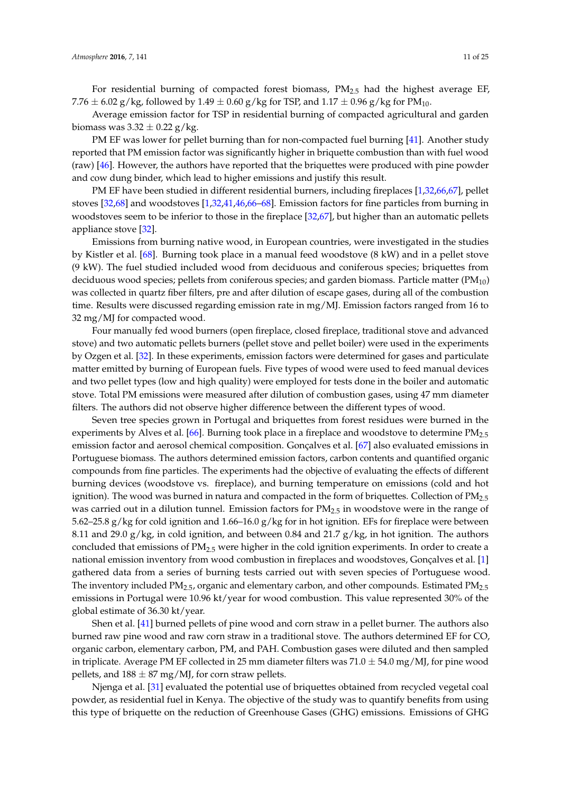Average emission factor for TSP in residential burning of compacted agricultural and garden biomass was  $3.32 \pm 0.22$  g/kg.

PM EF was lower for pellet burning than for non-compacted fuel burning [\[41\]](#page-22-5). Another study reported that PM emission factor was significantly higher in briquette combustion than with fuel wood (raw) [\[46\]](#page-22-9). However, the authors have reported that the briquettes were produced with pine powder and cow dung binder, which lead to higher emissions and justify this result.

PM EF have been studied in different residential burners, including fireplaces [\[1,](#page-20-0)[32,](#page-21-16)[66,](#page-23-12)[67\]](#page-23-13), pellet stoves [\[32](#page-21-16)[,68\]](#page-23-14) and woodstoves [\[1,](#page-20-0)[32,](#page-21-16)[41,](#page-22-5)[46,](#page-22-9)[66](#page-23-12)[–68\]](#page-23-14). Emission factors for fine particles from burning in woodstoves seem to be inferior to those in the fireplace [\[32,](#page-21-16)[67\]](#page-23-13), but higher than an automatic pellets appliance stove [\[32\]](#page-21-16).

Emissions from burning native wood, in European countries, were investigated in the studies by Kistler et al. [\[68\]](#page-23-14). Burning took place in a manual feed woodstove (8 kW) and in a pellet stove (9 kW). The fuel studied included wood from deciduous and coniferous species; briquettes from deciduous wood species; pellets from coniferous species; and garden biomass. Particle matter  $(PM_{10})$ was collected in quartz fiber filters, pre and after dilution of escape gases, during all of the combustion time. Results were discussed regarding emission rate in mg/MJ. Emission factors ranged from 16 to 32 mg/MJ for compacted wood.

Four manually fed wood burners (open fireplace, closed fireplace, traditional stove and advanced stove) and two automatic pellets burners (pellet stove and pellet boiler) were used in the experiments by Ozgen et al. [\[32\]](#page-21-16). In these experiments, emission factors were determined for gases and particulate matter emitted by burning of European fuels. Five types of wood were used to feed manual devices and two pellet types (low and high quality) were employed for tests done in the boiler and automatic stove. Total PM emissions were measured after dilution of combustion gases, using 47 mm diameter filters. The authors did not observe higher difference between the different types of wood.

Seven tree species grown in Portugal and briquettes from forest residues were burned in the experiments by Alves et al. [\[66\]](#page-23-12). Burning took place in a fireplace and woodstove to determine  $PM_{2.5}$ emission factor and aerosol chemical composition. Gonçalves et al. [\[67\]](#page-23-13) also evaluated emissions in Portuguese biomass. The authors determined emission factors, carbon contents and quantified organic compounds from fine particles. The experiments had the objective of evaluating the effects of different burning devices (woodstove vs. fireplace), and burning temperature on emissions (cold and hot ignition). The wood was burned in natura and compacted in the form of briquettes. Collection of  $PM_{2.5}$ was carried out in a dilution tunnel. Emission factors for  $PM_{2.5}$  in woodstove were in the range of 5.62–25.8 g/kg for cold ignition and 1.66–16.0 g/kg for in hot ignition. EFs for fireplace were between 8.11 and 29.0  $g/kg$ , in cold ignition, and between 0.84 and 21.7  $g/kg$ , in hot ignition. The authors concluded that emissions of  $PM_{2.5}$  were higher in the cold ignition experiments. In order to create a national emission inventory from wood combustion in fireplaces and woodstoves, Gonçalves et al. [\[1\]](#page-20-0) gathered data from a series of burning tests carried out with seven species of Portuguese wood. The inventory included  $PM<sub>2.5</sub>$ , organic and elementary carbon, and other compounds. Estimated  $PM<sub>2.5</sub>$ emissions in Portugal were 10.96 kt/year for wood combustion. This value represented 30% of the global estimate of 36.30 kt/year.

Shen et al. [\[41\]](#page-22-5) burned pellets of pine wood and corn straw in a pellet burner. The authors also burned raw pine wood and raw corn straw in a traditional stove. The authors determined EF for CO, organic carbon, elementary carbon, PM, and PAH. Combustion gases were diluted and then sampled in triplicate. Average PM EF collected in 25 mm diameter filters was  $71.0 \pm 54.0$  mg/MJ, for pine wood pellets, and  $188 \pm 87$  mg/MJ, for corn straw pellets.

Njenga et al. [\[31\]](#page-21-13) evaluated the potential use of briquettes obtained from recycled vegetal coal powder, as residential fuel in Kenya. The objective of the study was to quantify benefits from using this type of briquette on the reduction of Greenhouse Gases (GHG) emissions. Emissions of GHG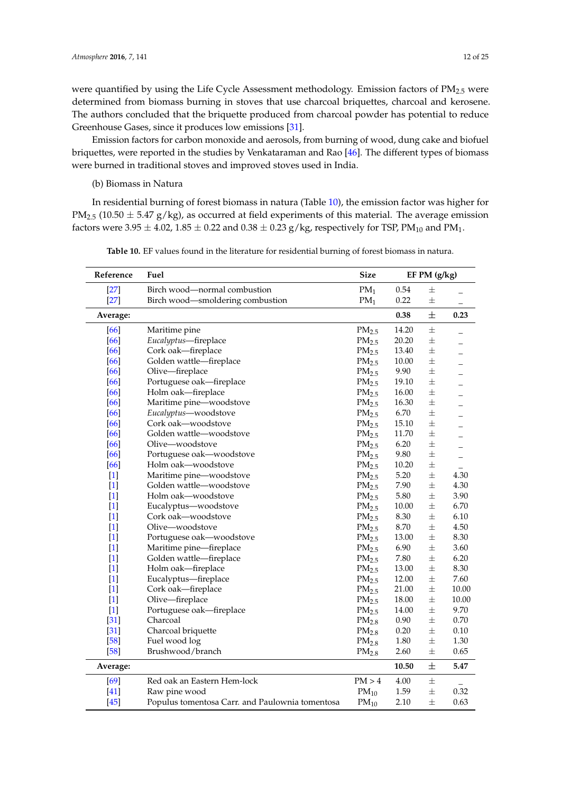were quantified by using the Life Cycle Assessment methodology. Emission factors of  $PM_{2.5}$  were determined from biomass burning in stoves that use charcoal briquettes, charcoal and kerosene. The authors concluded that the briquette produced from charcoal powder has potential to reduce Greenhouse Gases, since it produces low emissions [\[31\]](#page-21-13).

Emission factors for carbon monoxide and aerosols, from burning of wood, dung cake and biofuel briquettes, were reported in the studies by Venkataraman and Rao [\[46\]](#page-22-9). The different types of biomass were burned in traditional stoves and improved stoves used in India.

(b) Biomass in Natura

In residential burning of forest biomass in natura (Table [10\)](#page-12-0), the emission factor was higher for  $PM_{2.5}$  (10.50  $\pm$  5.47 g/kg), as occurred at field experiments of this material. The average emission factors were 3.95  $\pm$  4.02, 1.85  $\pm$  0.22 and 0.38  $\pm$  0.23 g/kg, respectively for TSP, PM<sub>10</sub> and PM<sub>1</sub>.

| Reference | Fuel                                            | <b>Size</b>       |       | EF PM (g/kg) |                          |
|-----------|-------------------------------------------------|-------------------|-------|--------------|--------------------------|
| $[27]$    | Birch wood—normal combustion                    | $PM_1$            | 0.54  | 土            |                          |
| $[27]$    | Birch wood-smoldering combustion                | $PM_1$            | 0.22  | 士            |                          |
| Average:  |                                                 |                   | 0.38  | 士            | 0.23                     |
| [66]      | Maritime pine                                   | PM <sub>2.5</sub> | 14.20 | 士            |                          |
| [66]      | Eucalyptus-fireplace                            | PM <sub>2.5</sub> | 20.20 | $\pm$        |                          |
| [66]      | Cork oak-fireplace                              | PM <sub>2.5</sub> | 13.40 | $\pm$        |                          |
| [66]      | Golden wattle-fireplace                         | PM <sub>2.5</sub> | 10.00 | 士            | $\overline{a}$           |
| [66]      | Olive-fireplace                                 | PM <sub>2.5</sub> | 9.90  | 士            |                          |
| [66]      | Portuguese oak—fireplace                        | PM <sub>2.5</sub> | 19.10 | $\pm$        |                          |
| [66]      | Holm oak-fireplace                              | PM <sub>2.5</sub> | 16.00 | 士            |                          |
| [66]      | Maritime pine-woodstove                         | PM <sub>2.5</sub> | 16.30 | $\pm$        |                          |
| [66]      | Eucalyptus-woodstove                            | PM <sub>2.5</sub> | 6.70  | 士            | $\overline{a}$           |
| [66]      | Cork oak—woodstove                              | PM <sub>2.5</sub> | 15.10 | $\pm$        |                          |
| [66]      | Golden wattle-woodstove                         | PM <sub>2.5</sub> | 11.70 | $\pm$        |                          |
| [66]      | Olive-woodstove                                 | PM <sub>2.5</sub> | 6.20  | $\pm$        |                          |
| [66]      | Portuguese oak-woodstove                        | PM <sub>2.5</sub> | 9.80  | 士            | $\overline{\phantom{0}}$ |
| $[66]$    | Holm oak—woodstove                              | PM <sub>2.5</sub> | 10.20 | 士            |                          |
| $[1]$     | Maritime pine-woodstove                         | PM <sub>2.5</sub> | 5.20  | $\pm$        | 4.30                     |
| $[1]$     | Golden wattle-woodstove                         | PM <sub>2.5</sub> | 7.90  | $\pm$        | 4.30                     |
| $[1]$     | Holm oak-woodstove                              | PM <sub>2.5</sub> | 5.80  | 土            | 3.90                     |
| $[1]$     | Eucalyptus-woodstove                            | PM <sub>2.5</sub> | 10.00 | $\pm$        | 6.70                     |
| $[1]$     | Cork oak—woodstove                              | PM <sub>2.5</sub> | 8.30  | $\pm$        | 6.10                     |
| $[1]$     | Olive—woodstove                                 | PM <sub>2.5</sub> | 8.70  | $\pm$        | 4.50                     |
| $[1]$     | Portuguese oak-woodstove                        | PM <sub>2.5</sub> | 13.00 | 土            | 8.30                     |
| $[1]$     | Maritime pine-fireplace                         | PM <sub>2.5</sub> | 6.90  | $\pm$        | 3.60                     |
| $[1]$     | Golden wattle-fireplace                         | PM <sub>2.5</sub> | 7.80  | $\pm$        | 6.20                     |
| $[1]$     | Holm oak-fireplace                              | PM <sub>2.5</sub> | 13.00 | $\pm$        | 8.30                     |
| $[1]$     | Eucalyptus-fireplace                            | PM <sub>2.5</sub> | 12.00 | 士            | 7.60                     |
| $[1]$     | Cork oak-fireplace                              | PM <sub>2.5</sub> | 21.00 | 士            | 10.00                    |
| $[1]$     | Olive-fireplace                                 | PM <sub>2.5</sub> | 18.00 | $\pm$        | 10.00                    |
| $[1]$     | Portuguese oak-fireplace                        | PM <sub>2.5</sub> | 14.00 | $\pm$        | 9.70                     |
| $[31]$    | Charcoal                                        | PM <sub>2.8</sub> | 0.90  | 士            | 0.70                     |
| $[31]$    | Charcoal briquette                              | PM <sub>2.8</sub> | 0.20  | 士            | 0.10                     |
| $[58]$    | Fuel wood log                                   | PM <sub>2.8</sub> | 1.80  | $\pm$        | 1.30                     |
| $[58]$    | Brushwood/branch                                | PM <sub>2.8</sub> | 2.60  | 士            | 0.65                     |
| Average:  |                                                 |                   | 10.50 | $\pm$        | 5.47                     |
| [69]      | Red oak an Eastern Hem-lock                     | PM > 4            | 4.00  | $\pm$        |                          |
| $[41]$    | Raw pine wood                                   | $PM_{10}$         | 1.59  | 士            | 0.32                     |
| $[45]$    | Populus tomentosa Carr. and Paulownia tomentosa | $PM_{10}$         | 2.10  | 士            | 0.63                     |

**Table 10.** EF values found in the literature for residential burning of forest biomass in natura.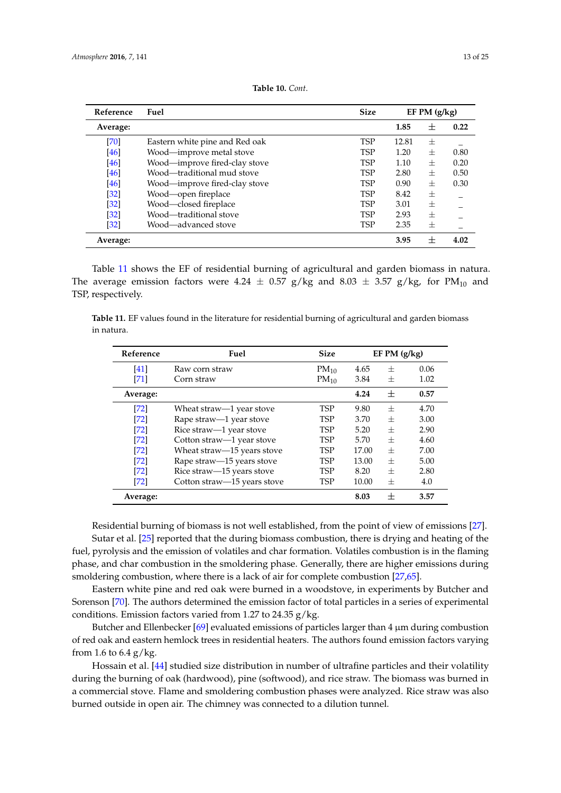<span id="page-12-0"></span>

| Reference         | Fuel                           | <b>Size</b> | $EF$ PM $(g/kg)$ |                 |      |
|-------------------|--------------------------------|-------------|------------------|-----------------|------|
| Average:          |                                |             | 1.85             | 士               | 0.22 |
| $[70]$            | Eastern white pine and Red oak | <b>TSP</b>  | 12.81            | 士               |      |
| [46]              | Wood-improve metal stove       | <b>TSP</b>  | 1.20             | $^{+}$          | 0.80 |
| [46]              | Wood-improve fired-clay stove  | <b>TSP</b>  | 1.10             | $^{+}$          | 0.20 |
| [46]              | Wood—traditional mud stove     | <b>TSP</b>  | 2.80             | $^{+}$          | 0.50 |
| [46]              | Wood—improve fired-clay stove  | <b>TSP</b>  | 0.90             | 士               | 0.30 |
| $[32]$            | Wood-open fireplace            | <b>TSP</b>  | 8.42             | 士               |      |
| $\left[32\right]$ | Wood-closed fireplace          | <b>TSP</b>  | 3.01             | $^{+}$          |      |
| $[32]$            | Wood—traditional stove         | <b>TSP</b>  | 2.93             | 士               |      |
| $\left[32\right]$ | Wood—advanced stove            | <b>TSP</b>  | 2.35             | 士               |      |
| Average:          |                                |             | 3.95             | $^{\mathrm{+}}$ | 4.02 |

| Table 10. Cont. |  |
|-----------------|--|
|-----------------|--|

Table [11](#page-12-1) shows the EF of residential burning of agricultural and garden biomass in natura. The average emission factors were 4.24  $\pm$  0.57 g/kg and 8.03  $\pm$  3.57 g/kg, for PM<sub>10</sub> and TSP, respectively.

<span id="page-12-1"></span>**Table 11.** EF values found in the literature for residential burning of agricultural and garden biomass in natura.

| Reference | Fuel                        | <b>Size</b> | EF PM (g/kg) |        |      |
|-----------|-----------------------------|-------------|--------------|--------|------|
| [41]      | Raw corn straw              | $PM_{10}$   | 4.65<br>士    |        | 0.06 |
| [71]      | Corn straw                  | $PM_{10}$   | 3.84         | 士      | 1.02 |
| Average:  |                             |             | 4.24         | $^{+}$ | 0.57 |
| [72]      | Wheat straw—1 year stove    | TSP         | 9.80         | $^{+}$ | 4.70 |
| [72]      | Rape straw-1 year stove     | <b>TSP</b>  | 3.70         | $^{+}$ | 3.00 |
| $[72]$    | Rice straw—1 year stove     | <b>TSP</b>  | 5.20         | $^{+}$ | 2.90 |
| [72]      | Cotton straw-1 year stove   | <b>TSP</b>  | 5.70         | $^{+}$ | 4.60 |
| $[72]$    | Wheat straw-15 years stove  | <b>TSP</b>  | 17.00        | $^{+}$ | 7.00 |
| $[72]$    | Rape straw-15 years stove   | <b>TSP</b>  | 13.00        | $^{+}$ | 5.00 |
| [72]      | Rice straw-15 years stove   | <b>TSP</b>  | 8.20         | $^{+}$ | 2.80 |
| $[72]$    | Cotton straw-15 years stove | <b>TSP</b>  | 10.00<br>士   |        | 4.0  |
| Average:  |                             |             | 8.03         | $\pm$  | 3.57 |

Residential burning of biomass is not well established, from the point of view of emissions [\[27\]](#page-21-6). Sutar et al. [\[25\]](#page-21-17) reported that the during biomass combustion, there is drying and heating of the

fuel, pyrolysis and the emission of volatiles and char formation. Volatiles combustion is in the flaming phase, and char combustion in the smoldering phase. Generally, there are higher emissions during smoldering combustion, where there is a lack of air for complete combustion [\[27](#page-21-6)[,65\]](#page-23-11).

Eastern white pine and red oak were burned in a woodstove, in experiments by Butcher and Sorenson [\[70\]](#page-23-16). The authors determined the emission factor of total particles in a series of experimental conditions. Emission factors varied from 1.27 to 24.35  $g/kg$ .

Butcher and Ellenbecker [\[69\]](#page-23-15) evaluated emissions of particles larger than  $4 \mu m$  during combustion of red oak and eastern hemlock trees in residential heaters. The authors found emission factors varying from 1.6 to  $6.4$  g/kg.

Hossain et al. [\[44\]](#page-22-7) studied size distribution in number of ultrafine particles and their volatility during the burning of oak (hardwood), pine (softwood), and rice straw. The biomass was burned in a commercial stove. Flame and smoldering combustion phases were analyzed. Rice straw was also burned outside in open air. The chimney was connected to a dilution tunnel.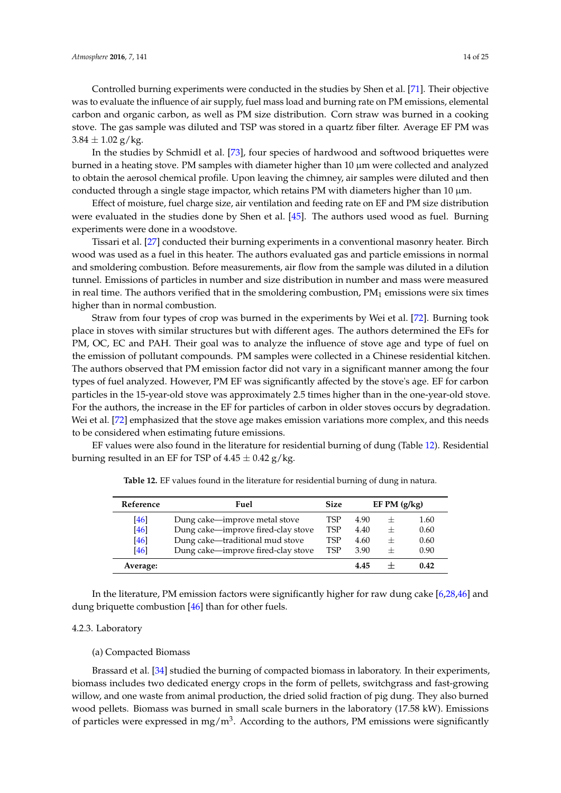In the studies by Schmidl et al. [\[73\]](#page-24-1), four species of hardwood and softwood briquettes were burned in a heating stove. PM samples with diameter higher than 10 µm were collected and analyzed to obtain the aerosol chemical profile. Upon leaving the chimney, air samples were diluted and then conducted through a single stage impactor, which retains PM with diameters higher than 10  $\mu$ m.

Effect of moisture, fuel charge size, air ventilation and feeding rate on EF and PM size distribution were evaluated in the studies done by Shen et al. [\[45\]](#page-22-8). The authors used wood as fuel. Burning experiments were done in a woodstove.

Tissari et al. [\[27\]](#page-21-6) conducted their burning experiments in a conventional masonry heater. Birch wood was used as a fuel in this heater. The authors evaluated gas and particle emissions in normal and smoldering combustion. Before measurements, air flow from the sample was diluted in a dilution tunnel. Emissions of particles in number and size distribution in number and mass were measured in real time. The authors verified that in the smoldering combustion,  $PM<sub>1</sub>$  emissions were six times higher than in normal combustion.

Straw from four types of crop was burned in the experiments by Wei et al. [\[72\]](#page-24-0). Burning took place in stoves with similar structures but with different ages. The authors determined the EFs for PM, OC, EC and PAH. Their goal was to analyze the influence of stove age and type of fuel on the emission of pollutant compounds. PM samples were collected in a Chinese residential kitchen. The authors observed that PM emission factor did not vary in a significant manner among the four types of fuel analyzed. However, PM EF was significantly affected by the stove's age. EF for carbon particles in the 15-year-old stove was approximately 2.5 times higher than in the one-year-old stove. For the authors, the increase in the EF for particles of carbon in older stoves occurs by degradation. Wei et al. [\[72\]](#page-24-0) emphasized that the stove age makes emission variations more complex, and this needs to be considered when estimating future emissions.

<span id="page-13-0"></span>EF values were also found in the literature for residential burning of dung (Table [12\)](#page-13-0). Residential burning resulted in an EF for TSP of  $4.45 \pm 0.42$  g/kg.

| Reference | Fuel                                      |     |      | EF PM $(g/kg)$ |      |
|-----------|-------------------------------------------|-----|------|----------------|------|
| [46]      | Dung cake—improve metal stove             | TSP | 4.90 | $^+$           | 1.60 |
| [46]      | Dung cake-improve fired-clay stove<br>TSP |     | 4.40 | $^{+}$         | 0.60 |
| [46]      | Dung cake-traditional mud stove           |     | 4.60 | $^{+}$         | 0.60 |
| [46]      | Dung cake—improve fired-clay stove<br>TSP |     | 3.90 | $^{+}$         | 0.90 |
| Average:  |                                           |     | 4.45 |                | 0.42 |

**Table 12.** EF values found in the literature for residential burning of dung in natura.

In the literature, PM emission factors were significantly higher for raw dung cake [\[6](#page-20-4)[,28](#page-21-7)[,46\]](#page-22-9) and dung briquette combustion [\[46\]](#page-22-9) than for other fuels.

## 4.2.3. Laboratory

## (a) Compacted Biomass

Brassard et al. [\[34\]](#page-21-11) studied the burning of compacted biomass in laboratory. In their experiments, biomass includes two dedicated energy crops in the form of pellets, switchgrass and fast-growing willow, and one waste from animal production, the dried solid fraction of pig dung. They also burned wood pellets. Biomass was burned in small scale burners in the laboratory (17.58 kW). Emissions of particles were expressed in mg/m<sup>3</sup>. According to the authors, PM emissions were significantly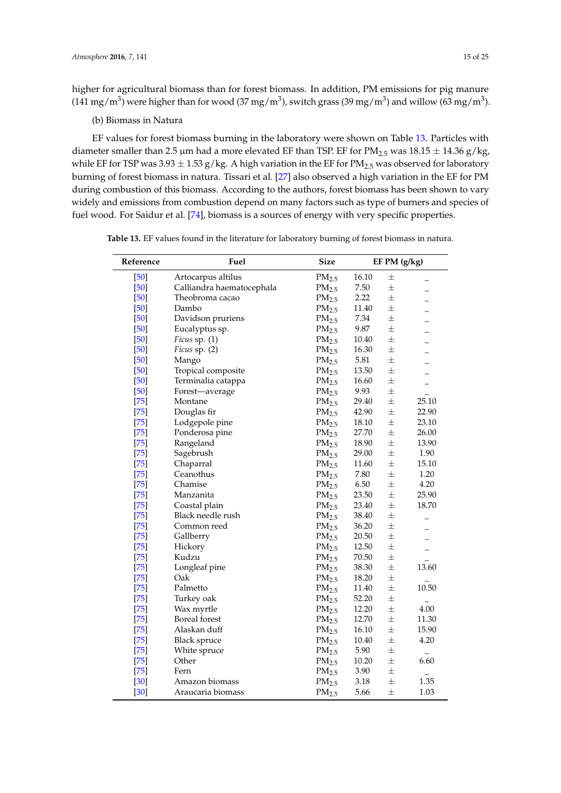higher for agricultural biomass than for forest biomass. In addition, PM emissions for pig manure (141 mg/m $^3$ ) were higher than for wood (37 mg/m $^3$ ), switch grass (39 mg/m $^3$ ) and willow (63 mg/m $^3$ ).

# (b) Biomass in Natura

EF values for forest biomass burning in the laboratory were shown on Table [13.](#page-15-0) Particles with diameter smaller than 2.5 µm had a more elevated EF than TSP. EF for  $PM_{2.5}$  was  $18.15 \pm 14.36$  g/kg, while EF for TSP was  $3.93 \pm 1.53$  g/kg. A high variation in the EF for PM<sub>2.5</sub> was observed for laboratory burning of forest biomass in natura. Tissari et al. [\[27\]](#page-21-6) also observed a high variation in the EF for PM during combustion of this biomass. According to the authors, forest biomass has been shown to vary widely and emissions from combustion depend on many factors such as type of burners and species of fuel wood. For Saidur et al. [\[74\]](#page-24-2), biomass is a sources of energy with very specific properties.

|  |  |  | Table 13. EF values found in the literature for laboratory burning of forest biomass in natura. |  |  |  |  |  |  |  |  |
|--|--|--|-------------------------------------------------------------------------------------------------|--|--|--|--|--|--|--|--|
|--|--|--|-------------------------------------------------------------------------------------------------|--|--|--|--|--|--|--|--|

| Reference | Fuel                      | <b>Size</b>       | EF PM (g/kg) |       |                          |
|-----------|---------------------------|-------------------|--------------|-------|--------------------------|
| $[50]$    | Artocarpus altilus        | PM <sub>2.5</sub> | 16.10        | 士     |                          |
| $[50]$    | Calliandra haematocephala | PM <sub>2.5</sub> | 7.50         | $\pm$ |                          |
| [50]      | Theobroma cacao           | PM <sub>2.5</sub> | 2.22         | $\pm$ |                          |
| [50]      | Dambo                     | $PM_{2.5}$        | 11.40        | 士     |                          |
| [50]      | Davidson pruriens         | PM <sub>2.5</sub> | 7.34         | $\pm$ |                          |
| $[50]$    | Eucalyptus sp.            | PM <sub>2.5</sub> | 9.87         | $\pm$ |                          |
| [50]      | Ficus sp. (1)             | PM <sub>2.5</sub> | 10.40        | 士     |                          |
| [50]      | Ficus sp. (2)             | PM <sub>2.5</sub> | 16.30        | 士     |                          |
| $[50]$    | Mango                     | PM <sub>2.5</sub> | 5.81         | $+$   |                          |
| [50]      | Tropical composite        | PM <sub>2.5</sub> | 13.50        | 士     |                          |
| [50]      | Terminalia catappa        | PM <sub>2.5</sub> | 16.60        | 士     |                          |
| [50]      | Forest-average            | PM <sub>2.5</sub> | 9.93         | $\pm$ |                          |
| $[75]$    | Montane                   | PM <sub>2.5</sub> | 29.40        | $\pm$ | 25.10                    |
| $[75]$    | Douglas fir               | PM <sub>2.5</sub> | 42.90        | $\pm$ | 22.90                    |
| $[75]$    | Lodgepole pine            | PM <sub>2.5</sub> | 18.10        | 士     | 23.10                    |
| $[75]$    | Ponderosa pine            | $PM_{2.5}$        | 27.70        | $\pm$ | 26.00                    |
| $[75]$    | Rangeland                 | PM <sub>2.5</sub> | 18.90        | $\pm$ | 13.90                    |
| $[75]$    | Sagebrush                 | PM <sub>2.5</sub> | 29.00        | $\pm$ | 1.90                     |
| $[75]$    | Chaparral                 | PM <sub>2.5</sub> | 11.60        | 士     | 15.10                    |
| $[75]$    | Ceanothus                 | $PM_{2.5}$        | 7.80         | $\pm$ | 1.20                     |
| $[75]$    | Chamise                   | PM <sub>2.5</sub> | 6.50         | $\pm$ | 4.20                     |
| $[75]$    | Manzanita                 | PM <sub>2.5</sub> | 23.50        | 士     | 25.90                    |
| $[75]$    | Coastal plain             | PM <sub>2.5</sub> | 23.40        | $\pm$ | 18.70                    |
| $[75]$    | Black needle rush         | PM <sub>2.5</sub> | 38.40        | $\pm$ |                          |
| $[75]$    | Common reed               | PM <sub>2.5</sub> | 36.20        | $\pm$ |                          |
| $[75]$    | Gallberry                 | PM <sub>2.5</sub> | 20.50        | 士     |                          |
| $[75]$    | Hickory                   | $PM_{2.5}$        | 12.50        | $\pm$ | $\overline{\phantom{0}}$ |
| $[75]$    | Kudzu                     | PM <sub>2.5</sub> | 70.50        | $\pm$ |                          |
| $[75]$    | Longleaf pine             | PM <sub>2.5</sub> | 38.30        | $\pm$ | 13.60                    |
| $[75]$    | Oak                       | PM <sub>2.5</sub> | 18.20        | $\pm$ |                          |
| $[75]$    | Palmetto                  | PM <sub>2.5</sub> | 11.40        | $\pm$ | 10.50                    |
| $[75]$    | Turkey oak                | PM <sub>2.5</sub> | 52.20        | $\pm$ |                          |
| $[75]$    | Wax myrtle                | PM <sub>2.5</sub> | 12.20        | $\pm$ | 4.00                     |
| $[75]$    | Boreal forest             | $PM_{2.5}$        | 12.70        | $\pm$ | 11.30                    |
| $[75]$    | Alaskan duff              | PM <sub>2.5</sub> | 16.10        | 士     | 15.90                    |
| $[75]$    | <b>Black spruce</b>       | PM <sub>2.5</sub> | 10.40        | $\pm$ | 4.20                     |
| $[75]$    | White spruce              | PM <sub>2.5</sub> | 5.90         | 士     |                          |
| $[75]$    | Other                     | PM <sub>2.5</sub> | 10.20        | $\pm$ | 6.60                     |
| $[75]$    | Fern                      | PM <sub>2.5</sub> | 3.90         | $\pm$ |                          |
| $[30]$    | Amazon biomass            | PM <sub>2.5</sub> | 3.18         | 士     | 1.35                     |
| $[30]$    | Araucaria biomass         | PM <sub>2.5</sub> | 5.66         | 士     | 1.03                     |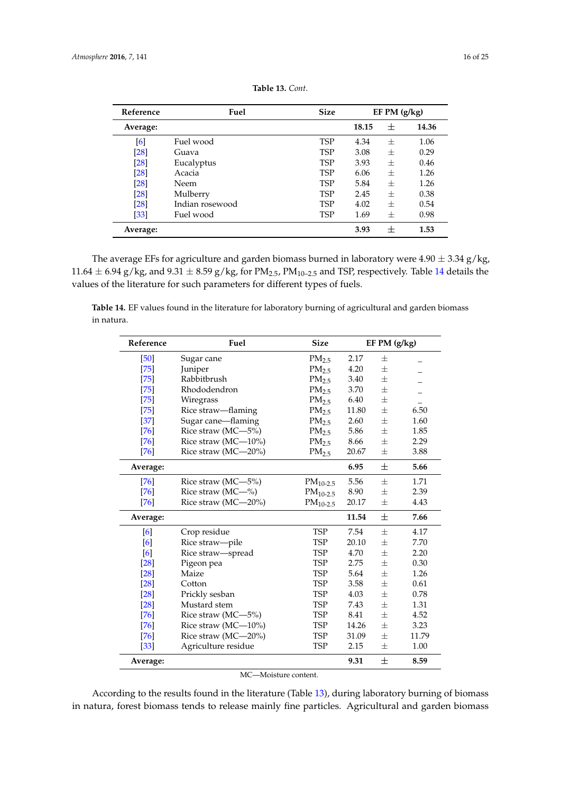<span id="page-15-0"></span>

| Reference | Fuel            | <b>Size</b> | EF PM $(g/kg)$ |        |       |
|-----------|-----------------|-------------|----------------|--------|-------|
| Average:  |                 |             | 18.15          | 士      | 14.36 |
| [6]       | Fuel wood       | <b>TSP</b>  | 4.34           | $^{+}$ | 1.06  |
| [28]      | Guava           | <b>TSP</b>  | 3.08           | $^{+}$ | 0.29  |
| $[28]$    | Eucalyptus      | <b>TSP</b>  | 3.93           | 士      | 0.46  |
| [28]      | Acacia          | <b>TSP</b>  | 6.06           | 士      | 1.26  |
| [28]      | Neem            | <b>TSP</b>  | 5.84           | $^{+}$ | 1.26  |
| [28]      | Mulberry        | <b>TSP</b>  | 2.45           | 士      | 0.38  |
| [28]      | Indian rosewood | <b>TSP</b>  | 4.02           | $^{+}$ | 0.54  |
| [33]      | Fuel wood       | <b>TSP</b>  | 1.69           | $^{+}$ | 0.98  |
| Average:  |                 |             | 3.93           | $\pm$  | 1.53  |

| Table 13. Cont. |  |
|-----------------|--|
|-----------------|--|

The average EFs for agriculture and garden biomass burned in laboratory were  $4.90 \pm 3.34$  g/kg, 11.64  $\pm$  6.94 g/kg, and 9.31  $\pm$  8.59 g/kg, for PM<sub>2.5</sub>, PM<sub>10-2.5</sub> and TSP, respectively. Table [14](#page-15-1) details the values of the literature for such parameters for different types of fuels.

<span id="page-15-1"></span>**Table 14.** EF values found in the literature for laboratory burning of agricultural and garden biomass in natura.

| Reference | Fuel                | <b>Size</b>       | EF PM (g/kg) |        |       |
|-----------|---------------------|-------------------|--------------|--------|-------|
| [50]      | Sugar cane          | PM <sub>2.5</sub> | 2.17         | $\pm$  |       |
| $[75]$    | Juniper             | PM <sub>2.5</sub> | 4.20         | $\pm$  |       |
| $[75]$    | Rabbitbrush         | PM <sub>2.5</sub> | 3.40         | $\pm$  |       |
| $[75]$    | Rhododendron        | PM <sub>2.5</sub> | 3.70         | $\pm$  |       |
| $[75]$    | Wiregrass           | PM <sub>2.5</sub> | 6.40         | $^{+}$ |       |
| $[75]$    | Rice straw-flaming  | PM <sub>2.5</sub> | 11.80        | $\pm$  | 6.50  |
| $[37]$    | Sugar cane-flaming  | PM <sub>2.5</sub> | 2.60         | $\pm$  | 1.60  |
| [76]      | Rice straw (MC-5%)  | PM <sub>2.5</sub> | 5.86         | 士      | 1.85  |
| $[76]$    | Rice straw (MC-10%) | PM <sub>2.5</sub> | 8.66         | $\pm$  | 2.29  |
| $[76]$    | Rice straw (MC-20%) | PM <sub>2.5</sub> | 20.67        | $\pm$  | 3.88  |
| Average:  |                     |                   | 6.95         | 士      | 5.66  |
| $[76]$    | Rice straw (MC-5%)  | $PM_{10-2.5}$     | 5.56         | $\pm$  | 1.71  |
| $[76]$    | Rice straw (MC-%)   | $PM_{10-2.5}$     | 8.90         | $\pm$  | 2.39  |
| $[76]$    | Rice straw (MC-20%) | $PM_{10-2.5}$     | 20.17        | $\pm$  | 4.43  |
| Average:  |                     |                   | 11.54        | 士      | 7.66  |
| [6]       | Crop residue        | <b>TSP</b>        | 7.54         | $\pm$  | 4.17  |
| [6]       | Rice straw-pile     | <b>TSP</b>        | 20.10        | $\pm$  | 7.70  |
| [6]       | Rice straw-spread   | <b>TSP</b>        | 4.70         | $\pm$  | 2.20  |
| [28]      | Pigeon pea          | <b>TSP</b>        | 2.75         | $^{+}$ | 0.30  |
| $[28]$    | Maize               | <b>TSP</b>        | 5.64         | $+$    | 1.26  |
| $[28]$    | Cotton              | <b>TSP</b>        | 3.58         | $\pm$  | 0.61  |
| [28]      | Prickly sesban      | <b>TSP</b>        | 4.03         | $\pm$  | 0.78  |
| [28]      | Mustard stem        | <b>TSP</b>        | 7.43         | $\pm$  | 1.31  |
| $[76]$    | Rice straw (MC-5%)  | <b>TSP</b>        | 8.41         | $+$    | 4.52  |
| $[76]$    | Rice straw (MC-10%) | <b>TSP</b>        | 14.26        | $\pm$  | 3.23  |
| $[76]$    | Rice straw (MC-20%) | <b>TSP</b>        | 31.09        | $\pm$  | 11.79 |
| $[33]$    | Agriculture residue | <b>TSP</b>        | 2.15         | $\pm$  | 1.00  |
| Average:  |                     |                   | 9.31         | 士      | 8.59  |

MC—Moisture content.

According to the results found in the literature (Table [13\)](#page-15-0), during laboratory burning of biomass in natura, forest biomass tends to release mainly fine particles. Agricultural and garden biomass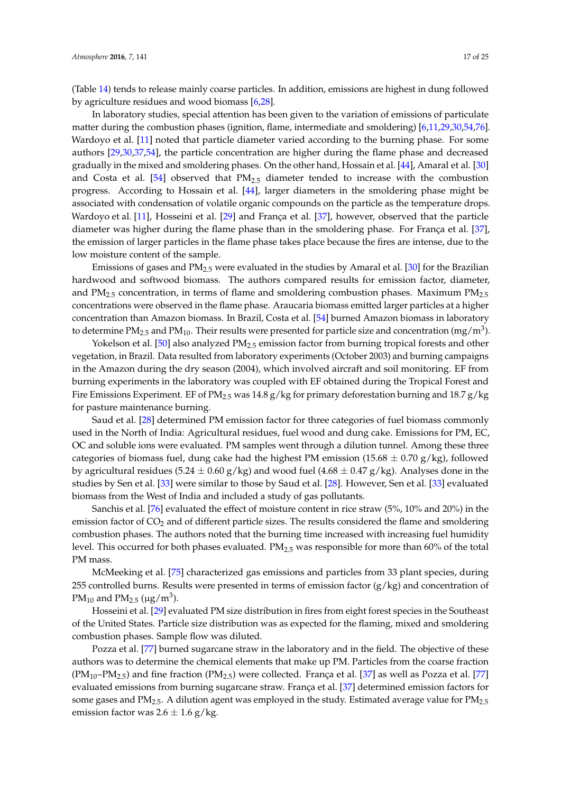(Table [14\)](#page-15-1) tends to release mainly coarse particles. In addition, emissions are highest in dung followed by agriculture residues and wood biomass [\[6,](#page-20-4)[28\]](#page-21-7).

In laboratory studies, special attention has been given to the variation of emissions of particulate matter during the combustion phases (ignition, flame, intermediate and smoldering) [\[6,](#page-20-4)[11,](#page-20-12)[29,](#page-21-8)[30](#page-21-10)[,54](#page-23-0)[,76\]](#page-24-4). Wardoyo et al. [\[11\]](#page-20-12) noted that particle diameter varied according to the burning phase. For some authors [\[29,](#page-21-8)[30,](#page-21-10)[37,](#page-22-2)[54\]](#page-23-0), the particle concentration are higher during the flame phase and decreased gradually in the mixed and smoldering phases. On the other hand, Hossain et al. [\[44\]](#page-22-7), Amaral et al. [\[30\]](#page-21-10) and Costa et al. [\[54\]](#page-23-0) observed that  $PM<sub>2.5</sub>$  diameter tended to increase with the combustion progress. According to Hossain et al. [\[44\]](#page-22-7), larger diameters in the smoldering phase might be associated with condensation of volatile organic compounds on the particle as the temperature drops. Wardoyo et al. [\[11\]](#page-20-12), Hosseini et al. [\[29\]](#page-21-8) and França et al. [\[37\]](#page-22-2), however, observed that the particle diameter was higher during the flame phase than in the smoldering phase. For França et al. [\[37\]](#page-22-2), the emission of larger particles in the flame phase takes place because the fires are intense, due to the low moisture content of the sample.

Emissions of gases and PM2.5 were evaluated in the studies by Amaral et al. [\[30\]](#page-21-10) for the Brazilian hardwood and softwood biomass. The authors compared results for emission factor, diameter, and  $PM_{2.5}$  concentration, in terms of flame and smoldering combustion phases. Maximum  $PM_{2.5}$ concentrations were observed in the flame phase. Araucaria biomass emitted larger particles at a higher concentration than Amazon biomass. In Brazil, Costa et al. [\[54\]](#page-23-0) burned Amazon biomass in laboratory to determine PM<sub>2.5</sub> and PM<sub>10</sub>. Their results were presented for particle size and concentration (mg/m<sup>3</sup>).

Yokelson et al. [\[50\]](#page-22-13) also analyzed  $PM_{2.5}$  emission factor from burning tropical forests and other vegetation, in Brazil. Data resulted from laboratory experiments (October 2003) and burning campaigns in the Amazon during the dry season (2004), which involved aircraft and soil monitoring. EF from burning experiments in the laboratory was coupled with EF obtained during the Tropical Forest and Fire Emissions Experiment. EF of  $PM_{2.5}$  was 14.8 g/kg for primary deforestation burning and 18.7 g/kg for pasture maintenance burning.

Saud et al. [\[28\]](#page-21-7) determined PM emission factor for three categories of fuel biomass commonly used in the North of India: Agricultural residues, fuel wood and dung cake. Emissions for PM, EC, OC and soluble ions were evaluated. PM samples went through a dilution tunnel. Among these three categories of biomass fuel, dung cake had the highest PM emission (15.68  $\pm$  0.70 g/kg), followed by agricultural residues (5.24  $\pm$  0.60 g/kg) and wood fuel (4.68  $\pm$  0.47 g/kg). Analyses done in the studies by Sen et al. [\[33\]](#page-21-18) were similar to those by Saud et al. [\[28\]](#page-21-7). However, Sen et al. [\[33\]](#page-21-18) evaluated biomass from the West of India and included a study of gas pollutants.

Sanchis et al. [\[76\]](#page-24-4) evaluated the effect of moisture content in rice straw (5%, 10% and 20%) in the emission factor of  $CO<sub>2</sub>$  and of different particle sizes. The results considered the flame and smoldering combustion phases. The authors noted that the burning time increased with increasing fuel humidity level. This occurred for both phases evaluated.  $PM_{2.5}$  was responsible for more than 60% of the total PM mass.

McMeeking et al. [\[75\]](#page-24-3) characterized gas emissions and particles from 33 plant species, during 255 controlled burns. Results were presented in terms of emission factor  $(g/kg)$  and concentration of PM<sub>10</sub> and PM<sub>2.5</sub> ( $\mu$ g/m<sup>3</sup>).

Hosseini et al. [\[29\]](#page-21-8) evaluated PM size distribution in fires from eight forest species in the Southeast of the United States. Particle size distribution was as expected for the flaming, mixed and smoldering combustion phases. Sample flow was diluted.

Pozza et al. [\[77\]](#page-24-5) burned sugarcane straw in the laboratory and in the field. The objective of these authors was to determine the chemical elements that make up PM. Particles from the coarse fraction  $(PM_{10}-PM_{2.5})$  and fine fraction  $(PM_{2.5})$  were collected. França et al. [\[37\]](#page-22-2) as well as Pozza et al. [\[77\]](#page-24-5) evaluated emissions from burning sugarcane straw. França et al. [\[37\]](#page-22-2) determined emission factors for some gases and  $PM_{2.5}$ . A dilution agent was employed in the study. Estimated average value for  $PM_{2.5}$ emission factor was  $2.6 \pm 1.6$  g/kg.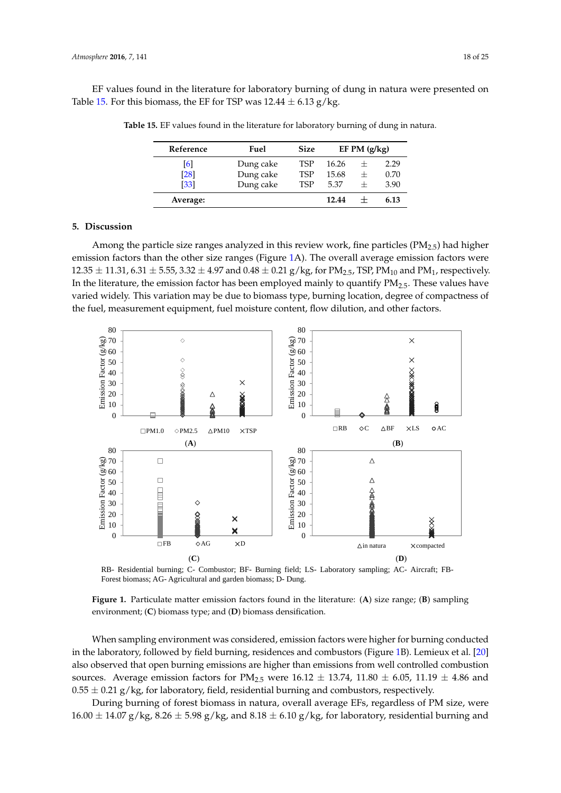<span id="page-17-0"></span>EF values found in the literature for laboratory burning of dung in natura were presented on Table [15.](#page-17-0) For this biomass, the EF for TSP was  $12.44 \pm 6.13$  g/kg.

| Reference | Fuel      | <b>Size</b> | EF PM $(g/kg)$ |        |      |
|-----------|-----------|-------------|----------------|--------|------|
| [6]       | Dung cake | <b>TSP</b>  | 16.26          | $^{+}$ | 2.29 |
| [28]      | Dung cake | <b>TSP</b>  | 15.68          | $^{+}$ | 0.70 |
| [33]      | Dung cake | <b>TSP</b>  | 5.37           | $^+$   | 3.90 |
| Average:  |           |             | 12.44          |        | 6.13 |

**Table 15.** EF values found in the literature for laboratory burning of dung in natura.

#### **5. Discussion**

Among the particle size ranges analyzed in this review work, fine particles  $(PM_{2.5})$  had higher emission factors than the other size ranges (Figure [1A](#page-17-1)). The overall average emission factors were  $12.35 \pm 11.31$ , 6.31  $\pm$  5.55, 3.32  $\pm$  4.97 and 0.48  $\pm$  0.21 g/kg, for PM<sub>2.5</sub>, TSP, PM<sub>10</sub> and PM<sub>1</sub>, respectively. In the literature, the emission factor has been employed mainly to quantify  $PM_{2.5}$ . These values have varied widely. This variation may be due to biomass type, burning location, degree of compactness of the fuel, measurement equipment, fuel moisture content, flow dilution, and other factors.

<span id="page-17-1"></span>

RB- Residential burning; C- Combustor; BF- Burning field; LS- Laboratory sampling; AC- Aircraft; FB-Forest biomass; AG- Agricultural and garden biomass; D- Dung.

**Figure 1.** Particulate matter emission factors found in the literature: (**A**) size range; (**B**) sampling environment; (**C**) biomass type; and (**D**) biomass densification.

When sampling environment was considered, emission factors were higher for burning conducted in the laboratory, followed by field burning, residences and combustors (Figure [1B](#page-17-1)). Lemieux et al. [\[20\]](#page-21-19) also observed that open burning emissions are higher than emissions from well controlled combustion sources. Average emission factors for PM<sub>2.5</sub> were  $16.12 \pm 13.74$ ,  $11.80 \pm 6.05$ ,  $11.19 \pm 4.86$  and  $0.55 \pm 0.21$  g/kg, for laboratory, field, residential burning and combustors, respectively.

During burning of forest biomass in natura, overall average EFs, regardless of PM size, were  $16.00 \pm 14.07$  g/kg,  $8.26 \pm 5.98$  g/kg, and  $8.18 \pm 6.10$  g/kg, for laboratory, residential burning and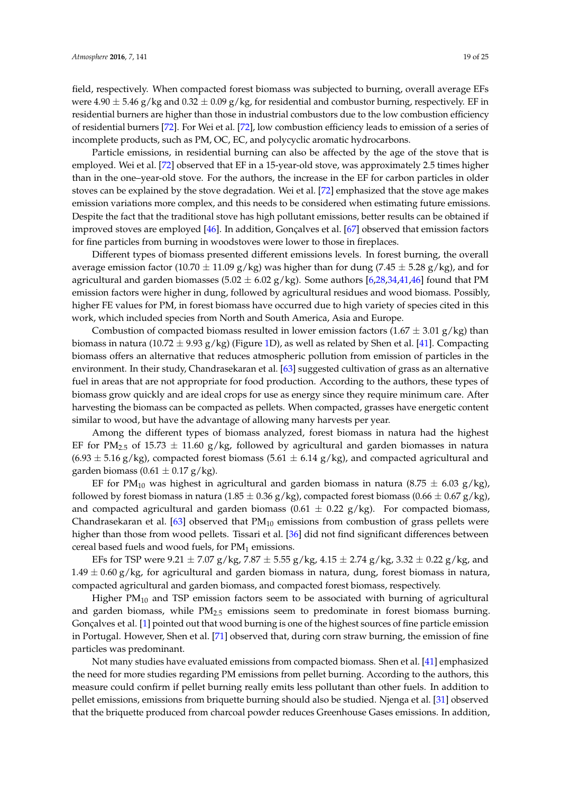field, respectively. When compacted forest biomass was subjected to burning, overall average EFs were  $4.90 \pm 5.46$  g/kg and  $0.32 \pm 0.09$  g/kg, for residential and combustor burning, respectively. EF in residential burners are higher than those in industrial combustors due to the low combustion efficiency of residential burners [\[72\]](#page-24-0). For Wei et al. [\[72\]](#page-24-0), low combustion efficiency leads to emission of a series of incomplete products, such as PM, OC, EC, and polycyclic aromatic hydrocarbons.

Particle emissions, in residential burning can also be affected by the age of the stove that is employed. Wei et al. [\[72\]](#page-24-0) observed that EF in a 15-year-old stove, was approximately 2.5 times higher than in the one–year-old stove. For the authors, the increase in the EF for carbon particles in older stoves can be explained by the stove degradation. Wei et al. [\[72\]](#page-24-0) emphasized that the stove age makes emission variations more complex, and this needs to be considered when estimating future emissions. Despite the fact that the traditional stove has high pollutant emissions, better results can be obtained if improved stoves are employed [\[46\]](#page-22-9). In addition, Gonçalves et al. [\[67\]](#page-23-13) observed that emission factors for fine particles from burning in woodstoves were lower to those in fireplaces.

Different types of biomass presented different emissions levels. In forest burning, the overall average emission factor (10.70  $\pm$  11.09 g/kg) was higher than for dung (7.45  $\pm$  5.28 g/kg), and for agricultural and garden biomasses (5.02  $\pm$  6.02 g/kg). Some authors [\[6,](#page-20-4)[28,](#page-21-7)[34,](#page-21-11)[41,](#page-22-5)[46\]](#page-22-9) found that PM emission factors were higher in dung, followed by agricultural residues and wood biomass. Possibly, higher FE values for PM, in forest biomass have occurred due to high variety of species cited in this work, which included species from North and South America, Asia and Europe.

Combustion of compacted biomass resulted in lower emission factors  $(1.67 \pm 3.01 \text{ g/kg})$  than biomass in natura (10.72  $\pm$  9.93 g/kg) (Figure [1D](#page-17-1)), as well as related by Shen et al. [\[41\]](#page-22-5). Compacting biomass offers an alternative that reduces atmospheric pollution from emission of particles in the environment. In their study, Chandrasekaran et al. [\[63\]](#page-23-9) suggested cultivation of grass as an alternative fuel in areas that are not appropriate for food production. According to the authors, these types of biomass grow quickly and are ideal crops for use as energy since they require minimum care. After harvesting the biomass can be compacted as pellets. When compacted, grasses have energetic content similar to wood, but have the advantage of allowing many harvests per year.

Among the different types of biomass analyzed, forest biomass in natura had the highest EF for PM<sub>2.5</sub> of 15.73  $\pm$  11.60 g/kg, followed by agricultural and garden biomasses in natura  $(6.93 \pm 5.16 \text{ g/kg})$ , compacted forest biomass  $(5.61 \pm 6.14 \text{ g/kg})$ , and compacted agricultural and garden biomass (0.61  $\pm$  0.17 g/kg).

EF for PM<sub>10</sub> was highest in agricultural and garden biomass in natura (8.75  $\pm$  6.03 g/kg), followed by forest biomass in natura (1.85  $\pm$  0.36 g/kg), compacted forest biomass (0.66  $\pm$  0.67 g/kg), and compacted agricultural and garden biomass (0.61  $\pm$  0.22 g/kg). For compacted biomass, Chandrasekaran et al.  $[63]$  observed that  $PM_{10}$  emissions from combustion of grass pellets were higher than those from wood pellets. Tissari et al. [\[36\]](#page-22-1) did not find significant differences between cereal based fuels and wood fuels, for  $PM<sub>1</sub>$  emissions.

EFs for TSP were 9.21  $\pm$  7.07 g/kg, 7.87  $\pm$  5.55 g/kg, 4.15  $\pm$  2.74 g/kg, 3.32  $\pm$  0.22 g/kg, and  $1.49 \pm 0.60$  g/kg, for agricultural and garden biomass in natura, dung, forest biomass in natura, compacted agricultural and garden biomass, and compacted forest biomass, respectively.

Higher  $PM_{10}$  and TSP emission factors seem to be associated with burning of agricultural and garden biomass, while  $PM<sub>2.5</sub>$  emissions seem to predominate in forest biomass burning. Gonçalves et al. [\[1\]](#page-20-0) pointed out that wood burning is one of the highest sources of fine particle emission in Portugal. However, Shen et al. [\[71\]](#page-23-17) observed that, during corn straw burning, the emission of fine particles was predominant.

Not many studies have evaluated emissions from compacted biomass. Shen et al. [\[41\]](#page-22-5) emphasized the need for more studies regarding PM emissions from pellet burning. According to the authors, this measure could confirm if pellet burning really emits less pollutant than other fuels. In addition to pellet emissions, emissions from briquette burning should also be studied. Njenga et al. [\[31\]](#page-21-13) observed that the briquette produced from charcoal powder reduces Greenhouse Gases emissions. In addition,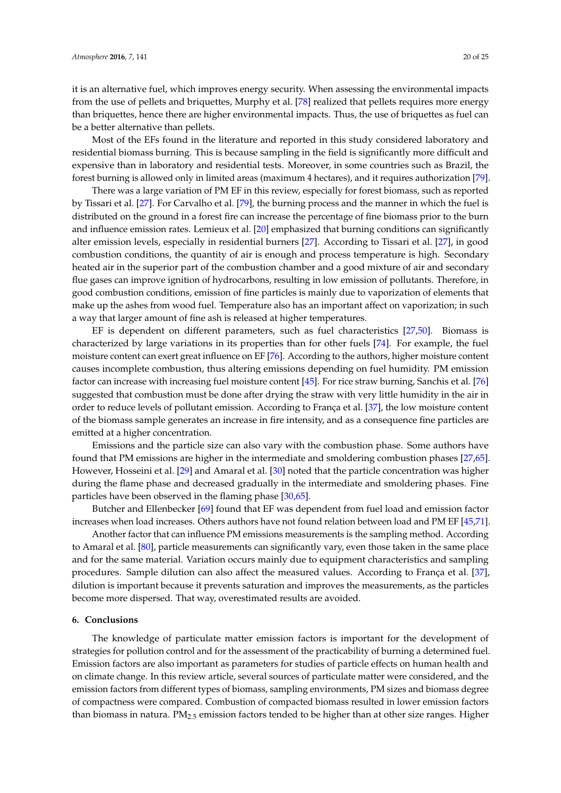it is an alternative fuel, which improves energy security. When assessing the environmental impacts from the use of pellets and briquettes, Murphy et al. [\[78\]](#page-24-6) realized that pellets requires more energy than briquettes, hence there are higher environmental impacts. Thus, the use of briquettes as fuel can be a better alternative than pellets.

Most of the EFs found in the literature and reported in this study considered laboratory and residential biomass burning. This is because sampling in the field is significantly more difficult and expensive than in laboratory and residential tests. Moreover, in some countries such as Brazil, the forest burning is allowed only in limited areas (maximum 4 hectares), and it requires authorization [\[79\]](#page-24-7).

There was a large variation of PM EF in this review, especially for forest biomass, such as reported by Tissari et al. [\[27\]](#page-21-6). For Carvalho et al. [\[79\]](#page-24-7), the burning process and the manner in which the fuel is distributed on the ground in a forest fire can increase the percentage of fine biomass prior to the burn and influence emission rates. Lemieux et al. [\[20\]](#page-21-19) emphasized that burning conditions can significantly alter emission levels, especially in residential burners [\[27\]](#page-21-6). According to Tissari et al. [\[27\]](#page-21-6), in good combustion conditions, the quantity of air is enough and process temperature is high. Secondary heated air in the superior part of the combustion chamber and a good mixture of air and secondary flue gases can improve ignition of hydrocarbons, resulting in low emission of pollutants. Therefore, in good combustion conditions, emission of fine particles is mainly due to vaporization of elements that make up the ashes from wood fuel. Temperature also has an important affect on vaporization; in such a way that larger amount of fine ash is released at higher temperatures.

EF is dependent on different parameters, such as fuel characteristics [\[27,](#page-21-6)[50\]](#page-22-13). Biomass is characterized by large variations in its properties than for other fuels [\[74\]](#page-24-2). For example, the fuel moisture content can exert great influence on EF [\[76\]](#page-24-4). According to the authors, higher moisture content causes incomplete combustion, thus altering emissions depending on fuel humidity. PM emission factor can increase with increasing fuel moisture content [\[45\]](#page-22-8). For rice straw burning, Sanchis et al. [\[76\]](#page-24-4) suggested that combustion must be done after drying the straw with very little humidity in the air in order to reduce levels of pollutant emission. According to França et al. [\[37\]](#page-22-2), the low moisture content of the biomass sample generates an increase in fire intensity, and as a consequence fine particles are emitted at a higher concentration.

Emissions and the particle size can also vary with the combustion phase. Some authors have found that PM emissions are higher in the intermediate and smoldering combustion phases [\[27,](#page-21-6)[65\]](#page-23-11). However, Hosseini et al. [\[29\]](#page-21-8) and Amaral et al. [\[30\]](#page-21-10) noted that the particle concentration was higher during the flame phase and decreased gradually in the intermediate and smoldering phases. Fine particles have been observed in the flaming phase [\[30,](#page-21-10)[65\]](#page-23-11).

Butcher and Ellenbecker [\[69\]](#page-23-15) found that EF was dependent from fuel load and emission factor increases when load increases. Others authors have not found relation between load and PM EF [\[45](#page-22-8)[,71\]](#page-23-17).

Another factor that can influence PM emissions measurements is the sampling method. According to Amaral et al. [\[80\]](#page-24-8), particle measurements can significantly vary, even those taken in the same place and for the same material. Variation occurs mainly due to equipment characteristics and sampling procedures. Sample dilution can also affect the measured values. According to França et al. [\[37\]](#page-22-2), dilution is important because it prevents saturation and improves the measurements, as the particles become more dispersed. That way, overestimated results are avoided.

#### **6. Conclusions**

The knowledge of particulate matter emission factors is important for the development of strategies for pollution control and for the assessment of the practicability of burning a determined fuel. Emission factors are also important as parameters for studies of particle effects on human health and on climate change. In this review article, several sources of particulate matter were considered, and the emission factors from different types of biomass, sampling environments, PM sizes and biomass degree of compactness were compared. Combustion of compacted biomass resulted in lower emission factors than biomass in natura.  $PM_{2.5}$  emission factors tended to be higher than at other size ranges. Higher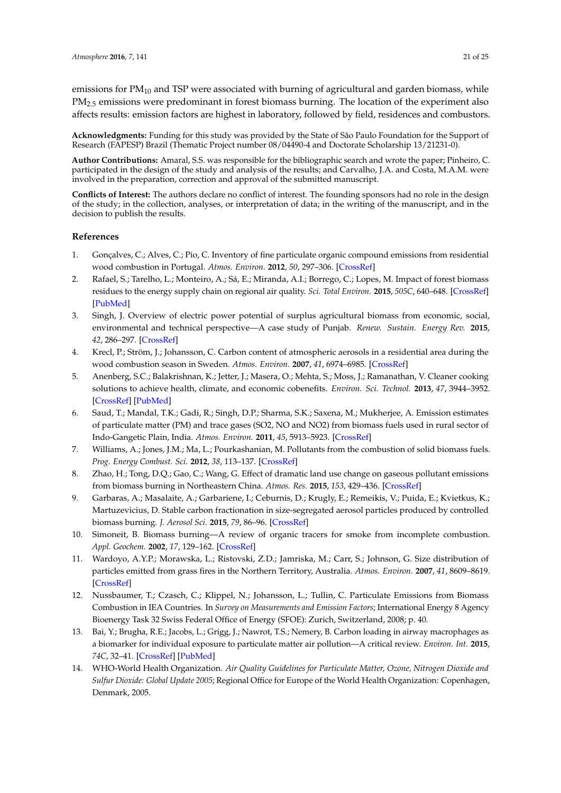emissions for  $PM_{10}$  and TSP were associated with burning of agricultural and garden biomass, while PM<sub>2.5</sub> emissions were predominant in forest biomass burning. The location of the experiment also affects results: emission factors are highest in laboratory, followed by field, residences and combustors.

**Acknowledgments:** Funding for this study was provided by the State of São Paulo Foundation for the Support of Research (FAPESP) Brazil (Thematic Project number 08/04490-4 and Doctorate Scholarship 13/21231-0).

**Author Contributions:** Amaral, S.S. was responsible for the bibliographic search and wrote the paper; Pinheiro, C. participated in the design of the study and analysis of the results; and Carvalho, J.A. and Costa, M.A.M. were involved in the preparation, correction and approval of the submitted manuscript.

**Conflicts of Interest:** The authors declare no conflict of interest. The founding sponsors had no role in the design of the study; in the collection, analyses, or interpretation of data; in the writing of the manuscript, and in the decision to publish the results.

# **References**

- <span id="page-20-0"></span>1. Gonçalves, C.; Alves, C.; Pio, C. Inventory of fine particulate organic compound emissions from residential wood combustion in Portugal. *Atmos. Environ.* **2012**, *50*, 297–306. [\[CrossRef\]](http://dx.doi.org/10.1016/j.atmosenv.2011.12.013)
- <span id="page-20-1"></span>2. Rafael, S.; Tarelho, L.; Monteiro, A.; Sá, E.; Miranda, A.I.; Borrego, C.; Lopes, M. Impact of forest biomass residues to the energy supply chain on regional air quality. *Sci. Total Environ.* **2015**, *505C*, 640–648. [\[CrossRef\]](http://dx.doi.org/10.1016/j.scitotenv.2014.10.049) [\[PubMed\]](http://www.ncbi.nlm.nih.gov/pubmed/25461067)
- <span id="page-20-13"></span>3. Singh, J. Overview of electric power potential of surplus agricultural biomass from economic, social, environmental and technical perspective—A case study of Punjab. *Renew. Sustain. Energy Rev.* **2015**, *42*, 286–297. [\[CrossRef\]](http://dx.doi.org/10.1016/j.rser.2014.10.015)
- <span id="page-20-2"></span>4. Krecl, P.; Ström, J.; Johansson, C. Carbon content of atmospheric aerosols in a residential area during the wood combustion season in Sweden. *Atmos. Environ.* **2007**, *41*, 6974–6985. [\[CrossRef\]](http://dx.doi.org/10.1016/j.atmosenv.2007.06.025)
- <span id="page-20-3"></span>5. Anenberg, S.C.; Balakrishnan, K.; Jetter, J.; Masera, O.; Mehta, S.; Moss, J.; Ramanathan, V. Cleaner cooking solutions to achieve health, climate, and economic cobenefits. *Environ. Sci. Technol.* **2013**, *47*, 3944–3952. [\[CrossRef\]](http://dx.doi.org/10.1021/es304942e) [\[PubMed\]](http://www.ncbi.nlm.nih.gov/pubmed/23551030)
- <span id="page-20-4"></span>6. Saud, T.; Mandal, T.K.; Gadi, R.; Singh, D.P.; Sharma, S.K.; Saxena, M.; Mukherjee, A. Emission estimates of particulate matter (PM) and trace gases (SO2, NO and NO2) from biomass fuels used in rural sector of Indo-Gangetic Plain, India. *Atmos. Environ.* **2011**, *45*, 5913–5923. [\[CrossRef\]](http://dx.doi.org/10.1016/j.atmosenv.2011.06.031)
- <span id="page-20-5"></span>7. Williams, A.; Jones, J.M.; Ma, L.; Pourkashanian, M. Pollutants from the combustion of solid biomass fuels. *Prog. Energy Combust. Sci.* **2012**, *38*, 113–137. [\[CrossRef\]](http://dx.doi.org/10.1016/j.pecs.2011.10.001)
- <span id="page-20-6"></span>8. Zhao, H.; Tong, D.Q.; Gao, C.; Wang, G. Effect of dramatic land use change on gaseous pollutant emissions from biomass burning in Northeastern China. *Atmos. Res.* **2015**, *153*, 429–436. [\[CrossRef\]](http://dx.doi.org/10.1016/j.atmosres.2014.10.008)
- <span id="page-20-8"></span>9. Garbaras, A.; Masalaite, A.; Garbariene, I.; Ceburnis, D.; Krugly, E.; Remeikis, V.; Puida, E.; Kvietkus, K.; Martuzevicius, D. Stable carbon fractionation in size-segregated aerosol particles produced by controlled biomass burning. *J. Aerosol Sci.* **2015**, *79*, 86–96. [\[CrossRef\]](http://dx.doi.org/10.1016/j.jaerosci.2014.10.005)
- <span id="page-20-11"></span>10. Simoneit, B. Biomass burning—A review of organic tracers for smoke from incomplete combustion. *Appl. Geochem.* **2002**, *17*, 129–162. [\[CrossRef\]](http://dx.doi.org/10.1016/S0883-2927(01)00061-0)
- <span id="page-20-12"></span>11. Wardoyo, A.Y.P.; Morawska, L.; Ristovski, Z.D.; Jamriska, M.; Carr, S.; Johnson, G. Size distribution of particles emitted from grass fires in the Northern Territory, Australia. *Atmos. Environ.* **2007**, *41*, 8609–8619. [\[CrossRef\]](http://dx.doi.org/10.1016/j.atmosenv.2007.07.020)
- <span id="page-20-7"></span>12. Nussbaumer, T.; Czasch, C.; Klippel, N.; Johansson, L.; Tullin, C. Particulate Emissions from Biomass Combustion in IEA Countries. In *Survey on Measurements and Emission Factors*; International Energy 8 Agency Bioenergy Task 32 Swiss Federal Office of Energy (SFOE): Zurich, Switzerland, 2008; p. 40.
- <span id="page-20-9"></span>13. Bai, Y.; Brugha, R.E.; Jacobs, L.; Grigg, J.; Nawrot, T.S.; Nemery, B. Carbon loading in airway macrophages as a biomarker for individual exposure to particulate matter air pollution—A critical review. *Environ. Int.* **2015**, *74C*, 32–41. [\[CrossRef\]](http://dx.doi.org/10.1016/j.envint.2014.09.010) [\[PubMed\]](http://www.ncbi.nlm.nih.gov/pubmed/25318022)
- <span id="page-20-10"></span>14. WHO-World Health Organization. *Air Quality Guidelines for Particulate Matter, Ozone, Nitrogen Dioxide and Sulfur Dioxide: Global Update 2005*; Regional Office for Europe of the World Health Organization: Copenhagen, Denmark, 2005.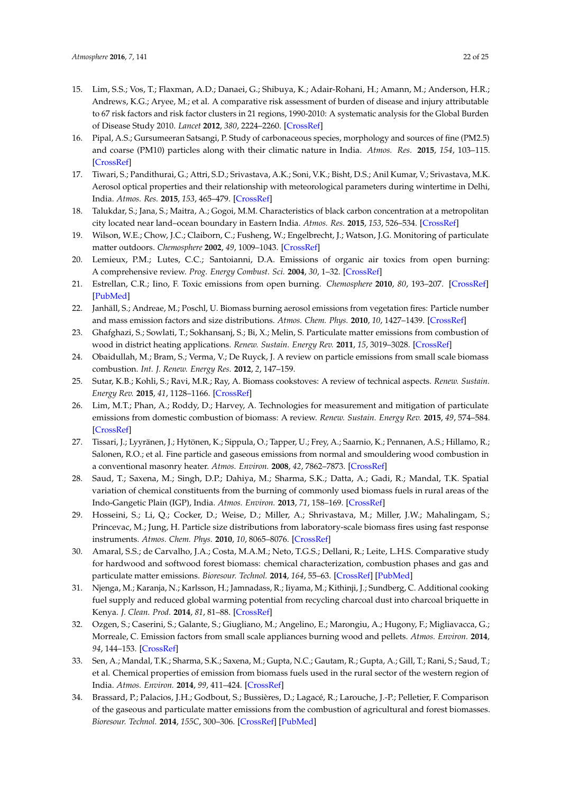- <span id="page-21-0"></span>15. Lim, S.S.; Vos, T.; Flaxman, A.D.; Danaei, G.; Shibuya, K.; Adair-Rohani, H.; Amann, M.; Anderson, H.R.; Andrews, K.G.; Aryee, M.; et al. A comparative risk assessment of burden of disease and injury attributable to 67 risk factors and risk factor clusters in 21 regions, 1990-2010: A systematic analysis for the Global Burden of Disease Study 2010. *Lancet* **2012**, *380*, 2224–2260. [\[CrossRef\]](http://dx.doi.org/10.1016/S0140-6736(12)61766-8)
- <span id="page-21-1"></span>16. Pipal, A.S.; Gursumeeran Satsangi, P. Study of carbonaceous species, morphology and sources of fine (PM2.5) and coarse (PM10) particles along with their climatic nature in India. *Atmos. Res.* **2015**, *154*, 103–115. [\[CrossRef\]](http://dx.doi.org/10.1016/j.atmosres.2014.11.007)
- <span id="page-21-2"></span>17. Tiwari, S.; Pandithurai, G.; Attri, S.D.; Srivastava, A.K.; Soni, V.K.; Bisht, D.S.; Anil Kumar, V.; Srivastava, M.K. Aerosol optical properties and their relationship with meteorological parameters during wintertime in Delhi, India. *Atmos. Res.* **2015**, *153*, 465–479. [\[CrossRef\]](http://dx.doi.org/10.1016/j.atmosres.2014.10.003)
- <span id="page-21-3"></span>18. Talukdar, S.; Jana, S.; Maitra, A.; Gogoi, M.M. Characteristics of black carbon concentration at a metropolitan city located near land–ocean boundary in Eastern India. *Atmos. Res.* **2015**, *153*, 526–534. [\[CrossRef\]](http://dx.doi.org/10.1016/j.atmosres.2014.10.014)
- <span id="page-21-4"></span>19. Wilson, W.E.; Chow, J.C.; Claiborn, C.; Fusheng, W.; Engelbrecht, J.; Watson, J.G. Monitoring of particulate matter outdoors. *Chemosphere* **2002**, *49*, 1009–1043. [\[CrossRef\]](http://dx.doi.org/10.1016/S0045-6535(02)00270-9)
- <span id="page-21-19"></span>20. Lemieux, P.M.; Lutes, C.C.; Santoianni, D.A. Emissions of organic air toxics from open burning: A comprehensive review. *Prog. Energy Combust. Sci.* **2004**, *30*, 1–32. [\[CrossRef\]](http://dx.doi.org/10.1016/j.pecs.2003.08.001)
- <span id="page-21-15"></span>21. Estrellan, C.R.; Iino, F. Toxic emissions from open burning. *Chemosphere* **2010**, *80*, 193–207. [\[CrossRef\]](http://dx.doi.org/10.1016/j.chemosphere.2010.03.057) [\[PubMed\]](http://www.ncbi.nlm.nih.gov/pubmed/20471058)
- <span id="page-21-12"></span>22. Janhäll, S.; Andreae, M.; Poschl, U. Biomass burning aerosol emissions from vegetation fires: Particle number and mass emission factors and size distributions. *Atmos. Chem. Phys.* **2010**, *10*, 1427–1439. [\[CrossRef\]](http://dx.doi.org/10.5194/acp-10-1427-2010)
- <span id="page-21-14"></span>23. Ghafghazi, S.; Sowlati, T.; Sokhansanj, S.; Bi, X.; Melin, S. Particulate matter emissions from combustion of wood in district heating applications. *Renew. Sustain. Energy Rev.* **2011**, *15*, 3019–3028. [\[CrossRef\]](http://dx.doi.org/10.1016/j.rser.2011.04.001)
- <span id="page-21-9"></span>24. Obaidullah, M.; Bram, S.; Verma, V.; De Ruyck, J. A review on particle emissions from small scale biomass combustion. *Int. J. Renew. Energy Res.* **2012**, *2*, 147–159.
- <span id="page-21-17"></span>25. Sutar, K.B.; Kohli, S.; Ravi, M.R.; Ray, A. Biomass cookstoves: A review of technical aspects. *Renew. Sustain. Energy Rev.* **2015**, *41*, 1128–1166. [\[CrossRef\]](http://dx.doi.org/10.1016/j.rser.2014.09.003)
- <span id="page-21-5"></span>26. Lim, M.T.; Phan, A.; Roddy, D.; Harvey, A. Technologies for measurement and mitigation of particulate emissions from domestic combustion of biomass: A review. *Renew. Sustain. Energy Rev.* **2015**, *49*, 574–584. [\[CrossRef\]](http://dx.doi.org/10.1016/j.rser.2015.04.090)
- <span id="page-21-6"></span>27. Tissari, J.; Lyyränen, J.; Hytönen, K.; Sippula, O.; Tapper, U.; Frey, A.; Saarnio, K.; Pennanen, A.S.; Hillamo, R.; Salonen, R.O.; et al. Fine particle and gaseous emissions from normal and smouldering wood combustion in a conventional masonry heater. *Atmos. Environ.* **2008**, *42*, 7862–7873. [\[CrossRef\]](http://dx.doi.org/10.1016/j.atmosenv.2008.07.019)
- <span id="page-21-7"></span>28. Saud, T.; Saxena, M.; Singh, D.P.; Dahiya, M.; Sharma, S.K.; Datta, A.; Gadi, R.; Mandal, T.K. Spatial variation of chemical constituents from the burning of commonly used biomass fuels in rural areas of the Indo-Gangetic Plain (IGP), India. *Atmos. Environ.* **2013**, *71*, 158–169. [\[CrossRef\]](http://dx.doi.org/10.1016/j.atmosenv.2013.01.053)
- <span id="page-21-8"></span>29. Hosseini, S.; Li, Q.; Cocker, D.; Weise, D.; Miller, A.; Shrivastava, M.; Miller, J.W.; Mahalingam, S.; Princevac, M.; Jung, H. Particle size distributions from laboratory-scale biomass fires using fast response instruments. *Atmos. Chem. Phys.* **2010**, *10*, 8065–8076. [\[CrossRef\]](http://dx.doi.org/10.5194/acp-10-8065-2010)
- <span id="page-21-10"></span>30. Amaral, S.S.; de Carvalho, J.A.; Costa, M.A.M.; Neto, T.G.S.; Dellani, R.; Leite, L.H.S. Comparative study for hardwood and softwood forest biomass: chemical characterization, combustion phases and gas and particulate matter emissions. *Bioresour. Technol.* **2014**, *164*, 55–63. [\[CrossRef\]](http://dx.doi.org/10.1016/j.biortech.2014.04.060) [\[PubMed\]](http://www.ncbi.nlm.nih.gov/pubmed/24836706)
- <span id="page-21-13"></span>31. Njenga, M.; Karanja, N.; Karlsson, H.; Jamnadass, R.; Iiyama, M.; Kithinji, J.; Sundberg, C. Additional cooking fuel supply and reduced global warming potential from recycling charcoal dust into charcoal briquette in Kenya. *J. Clean. Prod.* **2014**, *81*, 81–88. [\[CrossRef\]](http://dx.doi.org/10.1016/j.jclepro.2014.06.002)
- <span id="page-21-16"></span>32. Ozgen, S.; Caserini, S.; Galante, S.; Giugliano, M.; Angelino, E.; Marongiu, A.; Hugony, F.; Migliavacca, G.; Morreale, C. Emission factors from small scale appliances burning wood and pellets. *Atmos. Environ.* **2014**, *94*, 144–153. [\[CrossRef\]](http://dx.doi.org/10.1016/j.atmosenv.2014.05.032)
- <span id="page-21-18"></span>33. Sen, A.; Mandal, T.K.; Sharma, S.K.; Saxena, M.; Gupta, N.C.; Gautam, R.; Gupta, A.; Gill, T.; Rani, S.; Saud, T.; et al. Chemical properties of emission from biomass fuels used in the rural sector of the western region of India. *Atmos. Environ.* **2014**, *99*, 411–424. [\[CrossRef\]](http://dx.doi.org/10.1016/j.atmosenv.2014.09.012)
- <span id="page-21-11"></span>34. Brassard, P.; Palacios, J.H.; Godbout, S.; Bussières, D.; Lagacé, R.; Larouche, J.-P.; Pelletier, F. Comparison of the gaseous and particulate matter emissions from the combustion of agricultural and forest biomasses. *Bioresour. Technol.* **2014**, *155C*, 300–306. [\[CrossRef\]](http://dx.doi.org/10.1016/j.biortech.2013.12.027) [\[PubMed\]](http://www.ncbi.nlm.nih.gov/pubmed/24462881)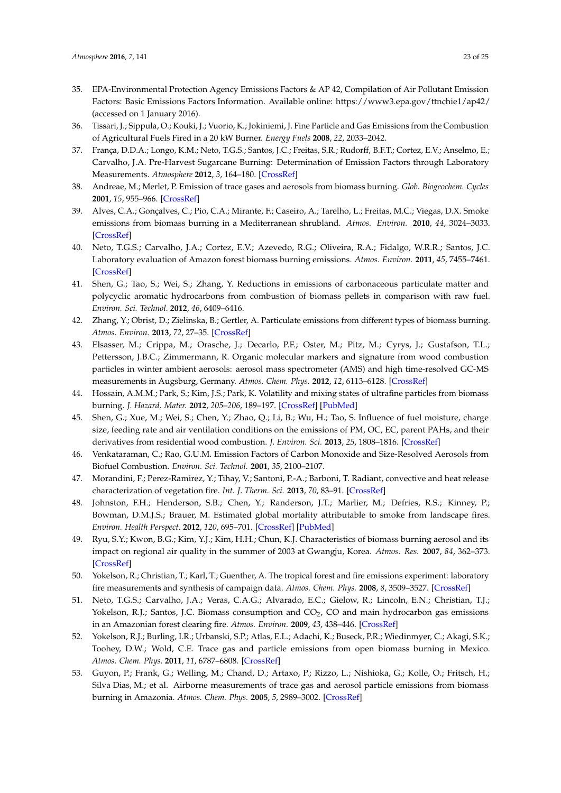- <span id="page-22-0"></span>35. EPA-Environmental Protection Agency Emissions Factors & AP 42, Compilation of Air Pollutant Emission Factors: Basic Emissions Factors Information. Available online: <https://www3.epa.gov/ttnchie1/ap42/> (accessed on 1 January 2016).
- <span id="page-22-1"></span>36. Tissari, J.; Sippula, O.; Kouki, J.; Vuorio, K.; Jokiniemi, J. Fine Particle and Gas Emissions from the Combustion of Agricultural Fuels Fired in a 20 kW Burner. *Energy Fuels* **2008**, *22*, 2033–2042.
- <span id="page-22-2"></span>37. França, D.D.A.; Longo, K.M.; Neto, T.G.S.; Santos, J.C.; Freitas, S.R.; Rudorff, B.F.T.; Cortez, E.V.; Anselmo, E.; Carvalho, J.A. Pre-Harvest Sugarcane Burning: Determination of Emission Factors through Laboratory Measurements. *Atmosphere* **2012**, *3*, 164–180. [\[CrossRef\]](http://dx.doi.org/10.3390/atmos3010164)
- <span id="page-22-3"></span>38. Andreae, M.; Merlet, P. Emission of trace gases and aerosols from biomass burning. *Glob. Biogeochem. Cycles* **2001**, *15*, 955–966. [\[CrossRef\]](http://dx.doi.org/10.1029/2000GB001382)
- <span id="page-22-14"></span>39. Alves, C.A.; Gonçalves, C.; Pio, C.A.; Mirante, F.; Caseiro, A.; Tarelho, L.; Freitas, M.C.; Viegas, D.X. Smoke emissions from biomass burning in a Mediterranean shrubland. *Atmos. Environ.* **2010**, *44*, 3024–3033. [\[CrossRef\]](http://dx.doi.org/10.1016/j.atmosenv.2010.05.010)
- <span id="page-22-4"></span>40. Neto, T.G.S.; Carvalho, J.A.; Cortez, E.V.; Azevedo, R.G.; Oliveira, R.A.; Fidalgo, W.R.R.; Santos, J.C. Laboratory evaluation of Amazon forest biomass burning emissions. *Atmos. Environ.* **2011**, *45*, 7455–7461. [\[CrossRef\]](http://dx.doi.org/10.1016/j.atmosenv.2011.05.003)
- <span id="page-22-5"></span>41. Shen, G.; Tao, S.; Wei, S.; Zhang, Y. Reductions in emissions of carbonaceous particulate matter and polycyclic aromatic hydrocarbons from combustion of biomass pellets in comparison with raw fuel. *Environ. Sci. Technol.* **2012**, *46*, 6409–6416.
- <span id="page-22-6"></span>42. Zhang, Y.; Obrist, D.; Zielinska, B.; Gertler, A. Particulate emissions from different types of biomass burning. *Atmos. Environ.* **2013**, *72*, 27–35. [\[CrossRef\]](http://dx.doi.org/10.1016/j.atmosenv.2013.02.026)
- <span id="page-22-18"></span>43. Elsasser, M.; Crippa, M.; Orasche, J.; Decarlo, P.F.; Oster, M.; Pitz, M.; Cyrys, J.; Gustafson, T.L.; Pettersson, J.B.C.; Zimmermann, R. Organic molecular markers and signature from wood combustion particles in winter ambient aerosols: aerosol mass spectrometer (AMS) and high time-resolved GC-MS measurements in Augsburg, Germany. *Atmos. Chem. Phys.* **2012**, *12*, 6113–6128. [\[CrossRef\]](http://dx.doi.org/10.5194/acp-12-6113-2012)
- <span id="page-22-7"></span>44. Hossain, A.M.M.; Park, S.; Kim, J.S.; Park, K. Volatility and mixing states of ultrafine particles from biomass burning. *J. Hazard. Mater.* **2012**, *205–206*, 189–197. [\[CrossRef\]](http://dx.doi.org/10.1016/j.jhazmat.2011.12.061) [\[PubMed\]](http://www.ncbi.nlm.nih.gov/pubmed/22244973)
- <span id="page-22-8"></span>45. Shen, G.; Xue, M.; Wei, S.; Chen, Y.; Zhao, Q.; Li, B.; Wu, H.; Tao, S. Influence of fuel moisture, charge size, feeding rate and air ventilation conditions on the emissions of PM, OC, EC, parent PAHs, and their derivatives from residential wood combustion. *J. Environ. Sci.* **2013**, *25*, 1808–1816. [\[CrossRef\]](http://dx.doi.org/10.1016/S1001-0742(12)60258-7)
- <span id="page-22-9"></span>46. Venkataraman, C.; Rao, G.U.M. Emission Factors of Carbon Monoxide and Size-Resolved Aerosols from Biofuel Combustion. *Environ. Sci. Technol.* **2001**, *35*, 2100–2107.
- <span id="page-22-10"></span>47. Morandini, F.; Perez-Ramirez, Y.; Tihay, V.; Santoni, P.-A.; Barboni, T. Radiant, convective and heat release characterization of vegetation fire. *Int. J. Therm. Sci.* **2013**, *70*, 83–91. [\[CrossRef\]](http://dx.doi.org/10.1016/j.ijthermalsci.2013.03.011)
- <span id="page-22-11"></span>48. Johnston, F.H.; Henderson, S.B.; Chen, Y.; Randerson, J.T.; Marlier, M.; Defries, R.S.; Kinney, P.; Bowman, D.M.J.S.; Brauer, M. Estimated global mortality attributable to smoke from landscape fires. *Environ. Health Perspect.* **2012**, *120*, 695–701. [\[CrossRef\]](http://dx.doi.org/10.1289/ehp.1104422) [\[PubMed\]](http://www.ncbi.nlm.nih.gov/pubmed/22456494)
- <span id="page-22-12"></span>49. Ryu, S.Y.; Kwon, B.G.; Kim, Y.J.; Kim, H.H.; Chun, K.J. Characteristics of biomass burning aerosol and its impact on regional air quality in the summer of 2003 at Gwangju, Korea. *Atmos. Res.* **2007**, *84*, 362–373. [\[CrossRef\]](http://dx.doi.org/10.1016/j.atmosres.2006.09.007)
- <span id="page-22-13"></span>50. Yokelson, R.; Christian, T.; Karl, T.; Guenther, A. The tropical forest and fire emissions experiment: laboratory fire measurements and synthesis of campaign data. *Atmos. Chem. Phys.* **2008**, *8*, 3509–3527. [\[CrossRef\]](http://dx.doi.org/10.5194/acp-8-3509-2008)
- <span id="page-22-15"></span>51. Neto, T.G.S.; Carvalho, J.A.; Veras, C.A.G.; Alvarado, E.C.; Gielow, R.; Lincoln, E.N.; Christian, T.J.; Yokelson, R.J.; Santos, J.C. Biomass consumption and  $CO<sub>2</sub>$ , CO and main hydrocarbon gas emissions in an Amazonian forest clearing fire. *Atmos. Environ.* **2009**, *43*, 438–446. [\[CrossRef\]](http://dx.doi.org/10.1016/j.atmosenv.2008.07.063)
- <span id="page-22-16"></span>52. Yokelson, R.J.; Burling, I.R.; Urbanski, S.P.; Atlas, E.L.; Adachi, K.; Buseck, P.R.; Wiedinmyer, C.; Akagi, S.K.; Toohey, D.W.; Wold, C.E. Trace gas and particle emissions from open biomass burning in Mexico. *Atmos. Chem. Phys.* **2011**, *11*, 6787–6808. [\[CrossRef\]](http://dx.doi.org/10.5194/acp-11-6787-2011)
- <span id="page-22-17"></span>53. Guyon, P.; Frank, G.; Welling, M.; Chand, D.; Artaxo, P.; Rizzo, L.; Nishioka, G.; Kolle, O.; Fritsch, H.; Silva Dias, M.; et al. Airborne measurements of trace gas and aerosol particle emissions from biomass burning in Amazonia. *Atmos. Chem. Phys.* **2005**, *5*, 2989–3002. [\[CrossRef\]](http://dx.doi.org/10.5194/acp-5-2989-2005)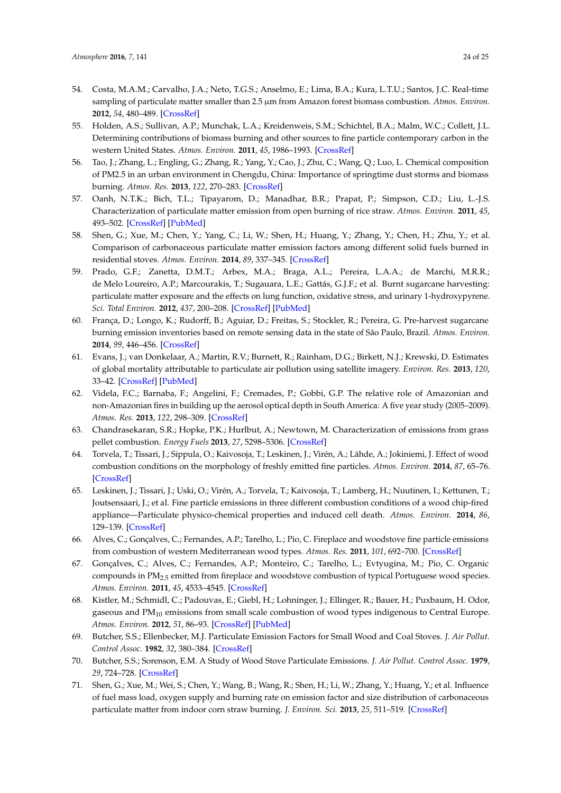- <span id="page-23-0"></span>54. Costa, M.A.M.; Carvalho, J.A.; Neto, T.G.S.; Anselmo, E.; Lima, B.A.; Kura, L.T.U.; Santos, J.C. Real-time sampling of particulate matter smaller than 2.5 µm from Amazon forest biomass combustion. *Atmos. Environ.* **2012**, *54*, 480–489. [\[CrossRef\]](http://dx.doi.org/10.1016/j.atmosenv.2012.02.023)
- <span id="page-23-1"></span>55. Holden, A.S.; Sullivan, A.P.; Munchak, L.A.; Kreidenweis, S.M.; Schichtel, B.A.; Malm, W.C.; Collett, J.L. Determining contributions of biomass burning and other sources to fine particle contemporary carbon in the western United States. *Atmos. Environ.* **2011**, *45*, 1986–1993. [\[CrossRef\]](http://dx.doi.org/10.1016/j.atmosenv.2011.01.021)
- <span id="page-23-2"></span>56. Tao, J.; Zhang, L.; Engling, G.; Zhang, R.; Yang, Y.; Cao, J.; Zhu, C.; Wang, Q.; Luo, L. Chemical composition of PM2.5 in an urban environment in Chengdu, China: Importance of springtime dust storms and biomass burning. *Atmos. Res.* **2013**, *122*, 270–283. [\[CrossRef\]](http://dx.doi.org/10.1016/j.atmosres.2012.11.004)
- <span id="page-23-3"></span>57. Oanh, N.T.K.; Bich, T.L.; Tipayarom, D.; Manadhar, B.R.; Prapat, P.; Simpson, C.D.; Liu, L.-J.S. Characterization of particulate matter emission from open burning of rice straw. *Atmos. Environ.* **2011**, *45*, 493–502. [\[CrossRef\]](http://dx.doi.org/10.1016/j.atmosenv.2010.09.023) [\[PubMed\]](http://www.ncbi.nlm.nih.gov/pubmed/21243095)
- <span id="page-23-4"></span>58. Shen, G.; Xue, M.; Chen, Y.; Yang, C.; Li, W.; Shen, H.; Huang, Y.; Zhang, Y.; Chen, H.; Zhu, Y.; et al. Comparison of carbonaceous particulate matter emission factors among different solid fuels burned in residential stoves. *Atmos. Environ.* **2014**, *89*, 337–345. [\[CrossRef\]](http://dx.doi.org/10.1016/j.atmosenv.2014.01.033)
- <span id="page-23-5"></span>59. Prado, G.F.; Zanetta, D.M.T.; Arbex, M.A.; Braga, A.L.; Pereira, L.A.A.; de Marchi, M.R.R.; de Melo Loureiro, A.P.; Marcourakis, T.; Sugauara, L.E.; Gattás, G.J.F.; et al. Burnt sugarcane harvesting: particulate matter exposure and the effects on lung function, oxidative stress, and urinary 1-hydroxypyrene. *Sci. Total Environ.* **2012**, *437*, 200–208. [\[CrossRef\]](http://dx.doi.org/10.1016/j.scitotenv.2012.07.069) [\[PubMed\]](http://www.ncbi.nlm.nih.gov/pubmed/22940481)
- <span id="page-23-6"></span>60. França, D.; Longo, K.; Rudorff, B.; Aguiar, D.; Freitas, S.; Stockler, R.; Pereira, G. Pre-harvest sugarcane burning emission inventories based on remote sensing data in the state of São Paulo, Brazil. *Atmos. Environ.* **2014**, *99*, 446–456. [\[CrossRef\]](http://dx.doi.org/10.1016/j.atmosenv.2014.10.010)
- <span id="page-23-8"></span>61. Evans, J.; van Donkelaar, A.; Martin, R.V.; Burnett, R.; Rainham, D.G.; Birkett, N.J.; Krewski, D. Estimates of global mortality attributable to particulate air pollution using satellite imagery. *Environ. Res.* **2013**, *120*, 33–42. [\[CrossRef\]](http://dx.doi.org/10.1016/j.envres.2012.08.005) [\[PubMed\]](http://www.ncbi.nlm.nih.gov/pubmed/22959329)
- <span id="page-23-7"></span>62. Videla, F.C.; Barnaba, F.; Angelini, F.; Cremades, P.; Gobbi, G.P. The relative role of Amazonian and non-Amazonian fires in building up the aerosol optical depth in South America: A five year study (2005–2009). *Atmos. Res.* **2013**, *122*, 298–309. [\[CrossRef\]](http://dx.doi.org/10.1016/j.atmosres.2012.10.026)
- <span id="page-23-9"></span>63. Chandrasekaran, S.R.; Hopke, P.K.; Hurlbut, A.; Newtown, M. Characterization of emissions from grass pellet combustion. *Energy Fuels* **2013**, *27*, 5298–5306. [\[CrossRef\]](http://dx.doi.org/10.1021/ef4010169)
- <span id="page-23-10"></span>64. Torvela, T.; Tissari, J.; Sippula, O.; Kaivosoja, T.; Leskinen, J.; Virén, A.; Lähde, A.; Jokiniemi, J. Effect of wood combustion conditions on the morphology of freshly emitted fine particles. *Atmos. Environ.* **2014**, *87*, 65–76. [\[CrossRef\]](http://dx.doi.org/10.1016/j.atmosenv.2014.01.028)
- <span id="page-23-11"></span>65. Leskinen, J.; Tissari, J.; Uski, O.; Virén, A.; Torvela, T.; Kaivosoja, T.; Lamberg, H.; Nuutinen, I.; Kettunen, T.; Joutsensaari, J.; et al. Fine particle emissions in three different combustion conditions of a wood chip-fired appliance—Particulate physico-chemical properties and induced cell death. *Atmos. Environ.* **2014**, *86*, 129–139. [\[CrossRef\]](http://dx.doi.org/10.1016/j.atmosenv.2013.12.012)
- <span id="page-23-12"></span>66. Alves, C.; Gonçalves, C.; Fernandes, A.P.; Tarelho, L.; Pio, C. Fireplace and woodstove fine particle emissions from combustion of western Mediterranean wood types. *Atmos. Res.* **2011**, *101*, 692–700. [\[CrossRef\]](http://dx.doi.org/10.1016/j.atmosres.2011.04.015)
- <span id="page-23-13"></span>67. Gonçalves, C.; Alves, C.; Fernandes, A.P.; Monteiro, C.; Tarelho, L.; Evtyugina, M.; Pio, C. Organic compounds in PM2.5 emitted from fireplace and woodstove combustion of typical Portuguese wood species. *Atmos. Environ.* **2011**, *45*, 4533–4545. [\[CrossRef\]](http://dx.doi.org/10.1016/j.atmosenv.2011.05.071)
- <span id="page-23-14"></span>68. Kistler, M.; Schmidl, C.; Padouvas, E.; Giebl, H.; Lohninger, J.; Ellinger, R.; Bauer, H.; Puxbaum, H. Odor, gaseous and  $PM_{10}$  emissions from small scale combustion of wood types indigenous to Central Europe. *Atmos. Environ.* **2012**, *51*, 86–93. [\[CrossRef\]](http://dx.doi.org/10.1016/j.atmosenv.2012.01.044) [\[PubMed\]](http://www.ncbi.nlm.nih.gov/pubmed/23471123)
- <span id="page-23-15"></span>69. Butcher, S.S.; Ellenbecker, M.J. Particulate Emission Factors for Small Wood and Coal Stoves. *J. Air Pollut. Control Assoc.* **1982**, *32*, 380–384. [\[CrossRef\]](http://dx.doi.org/10.1080/00022470.1982.10465413)
- <span id="page-23-16"></span>70. Butcher, S.S.; Sorenson, E.M. A Study of Wood Stove Particulate Emissions. *J. Air Pollut. Control Assoc.* **1979**, *29*, 724–728. [\[CrossRef\]](http://dx.doi.org/10.1080/00022470.1979.10470854)
- <span id="page-23-17"></span>71. Shen, G.; Xue, M.; Wei, S.; Chen, Y.; Wang, B.; Wang, R.; Shen, H.; Li, W.; Zhang, Y.; Huang, Y.; et al. Influence of fuel mass load, oxygen supply and burning rate on emission factor and size distribution of carbonaceous particulate matter from indoor corn straw burning. *J. Environ. Sci.* **2013**, *25*, 511–519. [\[CrossRef\]](http://dx.doi.org/10.1016/S1001-0742(12)60191-0)